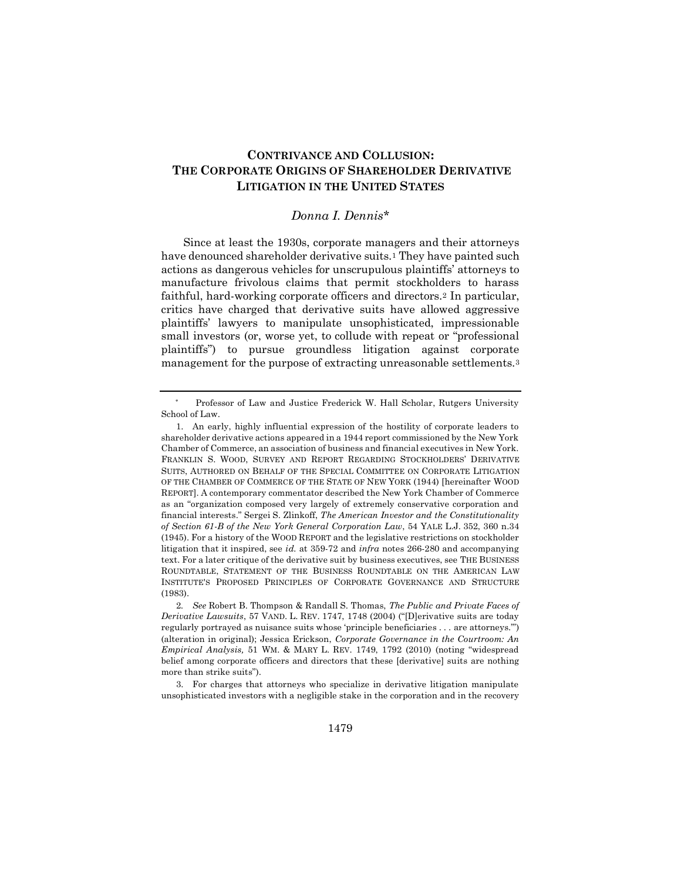# **CONTRIVANCE AND COLLUSION: THE CORPORATE ORIGINS OF SHAREHOLDER DERIVATIVE LITIGATION IN THE UNITED STATES**

### *Donna I. Dennis\**

Since at least the 1930s, corporate managers and their attorneys have denounced shareholder derivative suits.<sup>1</sup> They have painted such actions as dangerous vehicles for unscrupulous plaintiffs' attorneys to manufacture frivolous claims that permit stockholders to harass faithful, hard-working corporate officers and directors.<sup>2</sup> In particular, critics have charged that derivative suits have allowed aggressive plaintiffs' lawyers to manipulate unsophisticated, impressionable small investors (or, worse yet, to collude with repeat or "professional plaintiffs") to pursue groundless litigation against corporate management for the purpose of extracting unreasonable settlements.<sup>3</sup>

<sup>\*\*\*</sup>  Professor of Law and Justice Frederick W. Hall Scholar, Rutgers University School of Law.

<sup>1.</sup> An early, highly influential expression of the hostility of corporate leaders to shareholder derivative actions appeared in a 1944 report commissioned by the New York Chamber of Commerce, an association of business and financial executives in New York. FRANKLIN S. WOOD, SURVEY AND REPORT REGARDING STOCKHOLDERS' DERIVATIVE SUITS, AUTHORED ON BEHALF OF THE SPECIAL COMMITTEE ON CORPORATE LITIGATION OF THE CHAMBER OF COMMERCE OF THE STATE OF NEW YORK (1944) [hereinafter WOOD REPORT]. A contemporary commentator described the New York Chamber of Commerce as an "organization composed very largely of extremely conservative corporation and financial interests." Sergei S. Zlinkoff, *The American Investor and the Constitutionality of Section 61-B of the New York General Corporation Law*, 54 YALE L.J. 352, 360 n.34 (1945). For a history of the WOOD REPORT and the legislative restrictions on stockholder litigation that it inspired, see *id.* at 359-72 and *infra* notes 266-280 and accompanying text. For a later critique of the derivative suit by business executives, see THE BUSINESS ROUNDTABLE, STATEMENT OF THE BUSINESS ROUNDTABLE ON THE AMERICAN LAW INSTITUTE'S PROPOSED PRINCIPLES OF CORPORATE GOVERNANCE AND STRUCTURE (1983).

<sup>2</sup>*. See* Robert B. Thompson & Randall S. Thomas, *The Public and Private Faces of Derivative Lawsuits*, 57 VAND. L. REV. 1747, 1748 (2004) ("[D]erivative suits are today regularly portrayed as nuisance suits whose 'principle beneficiaries . . . are attorneys.'") (alteration in original); Jessica Erickson, *Corporate Governance in the Courtroom: An Empirical Analysis,* 51 WM. & MARY L. REV. 1749, 1792 (2010) (noting "widespread belief among corporate officers and directors that these [derivative] suits are nothing more than strike suits").

<sup>3.</sup> For charges that attorneys who specialize in derivative litigation manipulate unsophisticated investors with a negligible stake in the corporation and in the recovery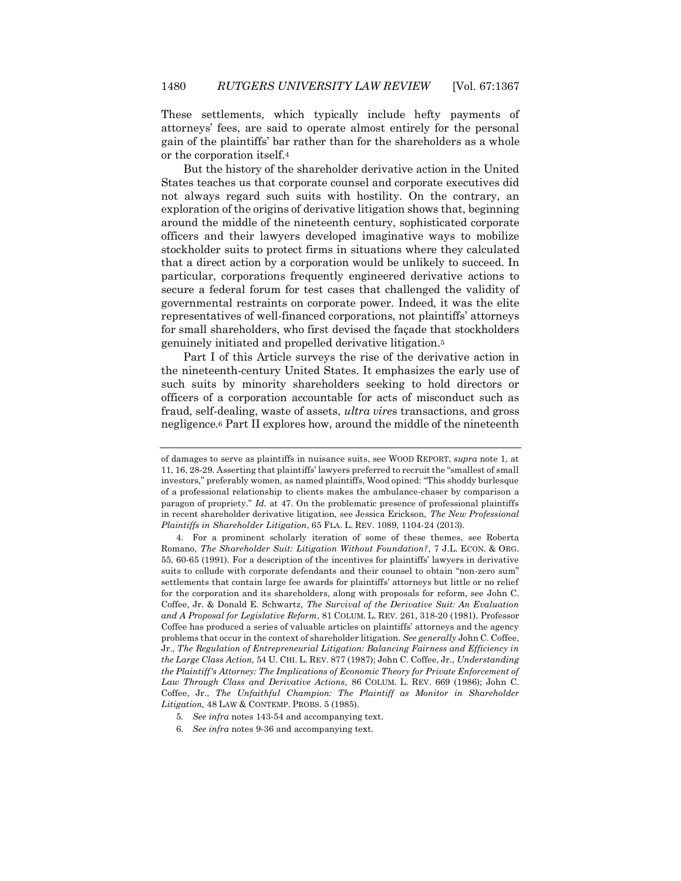These settlements, which typically include hefty payments of attorneys' fees, are said to operate almost entirely for the personal gain of the plaintiffs' bar rather than for the shareholders as a whole or the corporation itself.<sup>4</sup>

But the history of the shareholder derivative action in the United States teaches us that corporate counsel and corporate executives did not always regard such suits with hostility. On the contrary, an exploration of the origins of derivative litigation shows that, beginning around the middle of the nineteenth century, sophisticated corporate officers and their lawyers developed imaginative ways to mobilize stockholder suits to protect firms in situations where they calculated that a direct action by a corporation would be unlikely to succeed. In particular, corporations frequently engineered derivative actions to secure a federal forum for test cases that challenged the validity of governmental restraints on corporate power. Indeed, it was the elite representatives of well-financed corporations, not plaintiffs' attorneys for small shareholders, who first devised the façade that stockholders genuinely initiated and propelled derivative litigation.<sup>5</sup>

Part I of this Article surveys the rise of the derivative action in the nineteenth-century United States. It emphasizes the early use of such suits by minority shareholders seeking to hold directors or officers of a corporation accountable for acts of misconduct such as fraud, self-dealing, waste of assets, *ultra vire*s transactions, and gross negligence.<sup>6</sup> Part II explores how, around the middle of the nineteenth

of damages to serve as plaintiffs in nuisance suits, see WOOD REPORT, *supra* note 1, at 11, 16, 28-29. Asserting that plaintiffs' lawyers preferred to recruit the "smallest of small investors," preferably women, as named plaintiffs, Wood opined: "This shoddy burlesque of a professional relationship to clients makes the ambulance-chaser by comparison a paragon of propriety." *Id.* at 47. On the problematic presence of professional plaintiffs in recent shareholder derivative litigation, see Jessica Erickson, *The New Professional Plaintiffs in Shareholder Litigation*, 65 FLA. L. REV. 1089, 1104-24 (2013).

<sup>4.</sup> For a prominent scholarly iteration of some of these themes, see Roberta Romano, *The Shareholder Suit: Litigation Without Foundation?*, 7 J.L. ECON. & ORG. 55, 60-65 (1991). For a description of the incentives for plaintiffs' lawyers in derivative suits to collude with corporate defendants and their counsel to obtain "non-zero sum" settlements that contain large fee awards for plaintiffs' attorneys but little or no relief for the corporation and its shareholders, along with proposals for reform, see John C. Coffee, Jr. & Donald E. Schwartz, *The Survival of the Derivative Suit: An Evaluation and A Proposal for Legislative Reform*, 81 COLUM. L. REV. 261, 318-20 (1981). Professor Coffee has produced a series of valuable articles on plaintiffs' attorneys and the agency problems that occur in the context of shareholder litigation. *See generally* John C. Coffee, Jr., *The Regulation of Entrepreneurial Litigation: Balancing Fairness and Efficiency in the Large Class Action,* 54 U. CHI. L. REV. 877 (1987); John C. Coffee, Jr., *Understanding the Plaintiff's Attorney: The Implications of Economic Theory for Private Enforcement of Law Through Class and Derivative Actions,* 86 COLUM. L. REV. 669 (1986); John C. Coffee, Jr., *The Unfaithful Champion: The Plaintiff as Monitor in Shareholder Litigation,* 48 LAW & CONTEMP. PROBS. 5 (1985).

<sup>5</sup>*. See infra* notes 143-54 and accompanying text.

<sup>6</sup>*. See infra* notes 9-36 and accompanying text.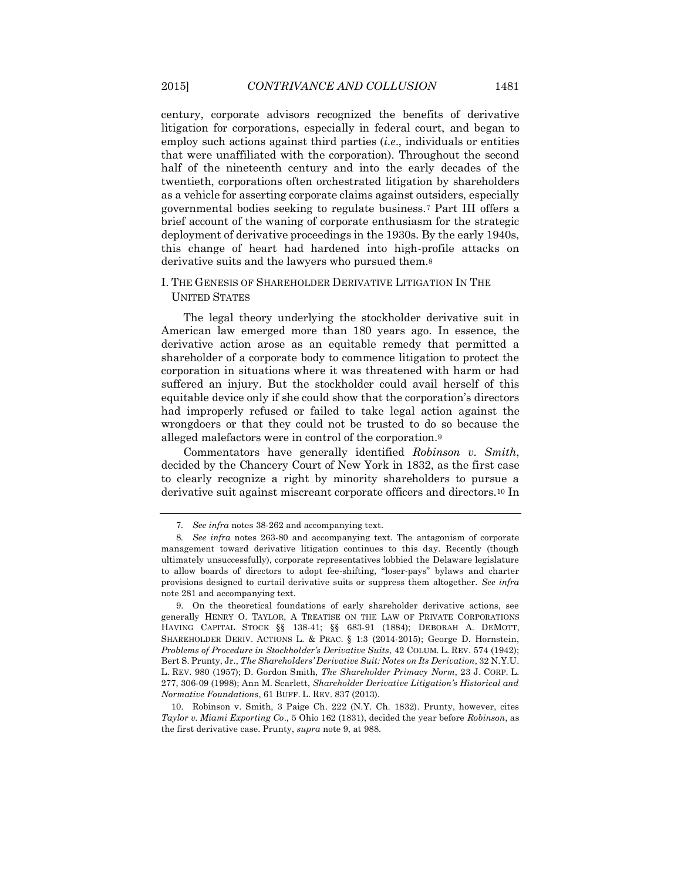century, corporate advisors recognized the benefits of derivative litigation for corporations, especially in federal court, and began to employ such actions against third parties (*i.e*., individuals or entities that were unaffiliated with the corporation). Throughout the second half of the nineteenth century and into the early decades of the twentieth, corporations often orchestrated litigation by shareholders as a vehicle for asserting corporate claims against outsiders, especially governmental bodies seeking to regulate business.<sup>7</sup> Part III offers a brief account of the waning of corporate enthusiasm for the strategic deployment of derivative proceedings in the 1930s. By the early 1940s, this change of heart had hardened into high-profile attacks on derivative suits and the lawyers who pursued them.<sup>8</sup>

### I. THE GENESIS OF SHAREHOLDER DERIVATIVE LITIGATION IN THE UNITED STATES

The legal theory underlying the stockholder derivative suit in American law emerged more than 180 years ago. In essence, the derivative action arose as an equitable remedy that permitted a shareholder of a corporate body to commence litigation to protect the corporation in situations where it was threatened with harm or had suffered an injury. But the stockholder could avail herself of this equitable device only if she could show that the corporation's directors had improperly refused or failed to take legal action against the wrongdoers or that they could not be trusted to do so because the alleged malefactors were in control of the corporation.<sup>9</sup>

Commentators have generally identified *Robinson v. Smith*, decided by the Chancery Court of New York in 1832, as the first case to clearly recognize a right by minority shareholders to pursue a derivative suit against miscreant corporate officers and directors.<sup>10</sup> In

<sup>7</sup>*. See infra* notes 38-262 and accompanying text.

<sup>8</sup>*. See infra* notes 263-80 and accompanying text. The antagonism of corporate management toward derivative litigation continues to this day. Recently (though ultimately unsuccessfully), corporate representatives lobbied the Delaware legislature to allow boards of directors to adopt fee-shifting, "loser-pays" bylaws and charter provisions designed to curtail derivative suits or suppress them altogether. *See infra* note 281 and accompanying text.

<sup>9.</sup> On the theoretical foundations of early shareholder derivative actions, see generally HENRY O. TAYLOR, A TREATISE ON THE LAW OF PRIVATE CORPORATIONS HAVING CAPITAL STOCK §§ 138-41; §§ 683-91 (1884); DEBORAH A. DEMOTT, SHAREHOLDER DERIV. ACTIONS L. & PRAC. § 1:3 (2014-2015); George D. Hornstein, *Problems of Procedure in Stockholder's Derivative Suits*, 42 COLUM. L. REV. 574 (1942); Bert S. Prunty, Jr., *The Shareholders' Derivative Suit: Notes on Its Derivation*, 32 N.Y.U. L. REV. 980 (1957); D. Gordon Smith, *The Shareholder Primacy Norm*, 23 J. CORP. L. 277, 306-09 (1998); Ann M. Scarlett, *Shareholder Derivative Litigation's Historical and Normative Foundations*, 61 BUFF. L. REV. 837 (2013).

<sup>10.</sup> Robinson v. Smith, 3 Paige Ch. 222 (N.Y. Ch. 1832). Prunty, however, cites *Taylor v. Miami Exporting Co*., 5 Ohio 162 (1831), decided the year before *Robinson*, as the first derivative case. Prunty, *supra* note 9, at 988.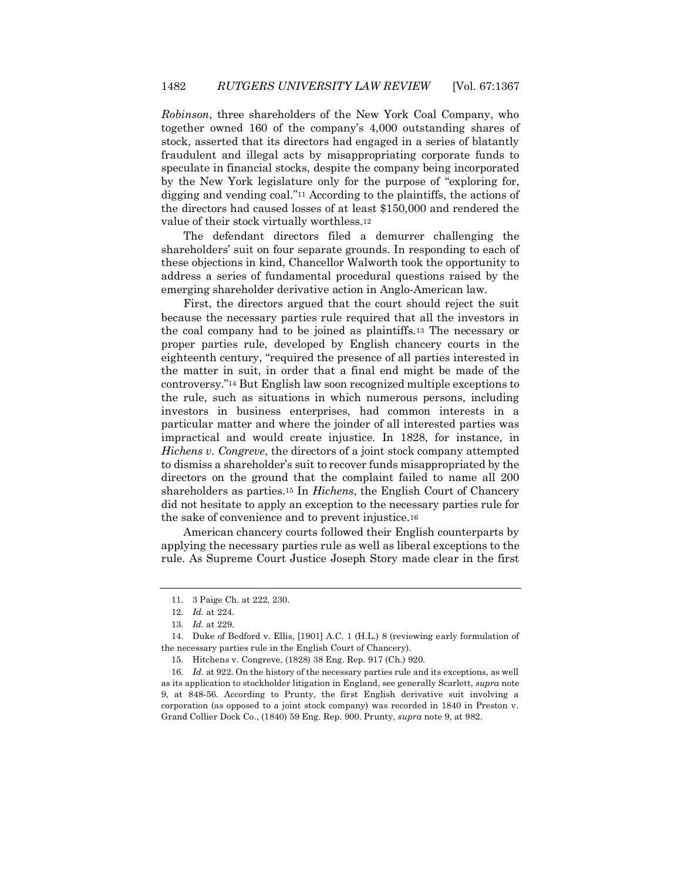*Robinson*, three shareholders of the New York Coal Company, who together owned 160 of the company's 4,000 outstanding shares of stock, asserted that its directors had engaged in a series of blatantly fraudulent and illegal acts by misappropriating corporate funds to speculate in financial stocks, despite the company being incorporated by the New York legislature only for the purpose of "exploring for, digging and vending coal."<sup>11</sup> According to the plaintiffs, the actions of the directors had caused losses of at least \$150,000 and rendered the value of their stock virtually worthless.<sup>12</sup>

The defendant directors filed a demurrer challenging the shareholders' suit on four separate grounds. In responding to each of these objections in kind, Chancellor Walworth took the opportunity to address a series of fundamental procedural questions raised by the emerging shareholder derivative action in Anglo-American law.

First, the directors argued that the court should reject the suit because the necessary parties rule required that all the investors in the coal company had to be joined as plaintiffs.<sup>13</sup> The necessary or proper parties rule, developed by English chancery courts in the eighteenth century, "required the presence of all parties interested in the matter in suit, in order that a final end might be made of the controversy."<sup>14</sup> But English law soon recognized multiple exceptions to the rule, such as situations in which numerous persons, including investors in business enterprises, had common interests in a particular matter and where the joinder of all interested parties was impractical and would create injustice. In 1828, for instance, in *Hichens v. Congreve*, the directors of a joint stock company attempted to dismiss a shareholder's suit to recover funds misappropriated by the directors on the ground that the complaint failed to name all 200 shareholders as parties.<sup>15</sup> In *Hichens*, the English Court of Chancery did not hesitate to apply an exception to the necessary parties rule for the sake of convenience and to prevent injustice.<sup>16</sup>

American chancery courts followed their English counterparts by applying the necessary parties rule as well as liberal exceptions to the rule. As Supreme Court Justice Joseph Story made clear in the first

<sup>11.</sup> 3 Paige Ch. at 222, 230.

<sup>12</sup>*. Id.* at 224.

<sup>13</sup>*. Id.* at 229.

<sup>14.</sup> Duke of Bedford v. Ellis, [1901] A.C. 1 (H.L.) 8 (reviewing early formulation of the necessary parties rule in the English Court of Chancery).

<sup>15.</sup> Hitchens v. Congreve, (1828) 38 Eng. Rep. 917 (Ch.) 920.

<sup>16.</sup> *Id*. at 922. On the history of the necessary parties rule and its exceptions, as well as its application to stockholder litigation in England, see generally Scarlett, *supra* note 9, at 848-56. According to Prunty, the first English derivative suit involving a corporation (as opposed to a joint stock company) was recorded in 1840 in Preston v. Grand Collier Dock Co., (1840) 59 Eng. Rep. 900. Prunty, *supra* note 9, at 982.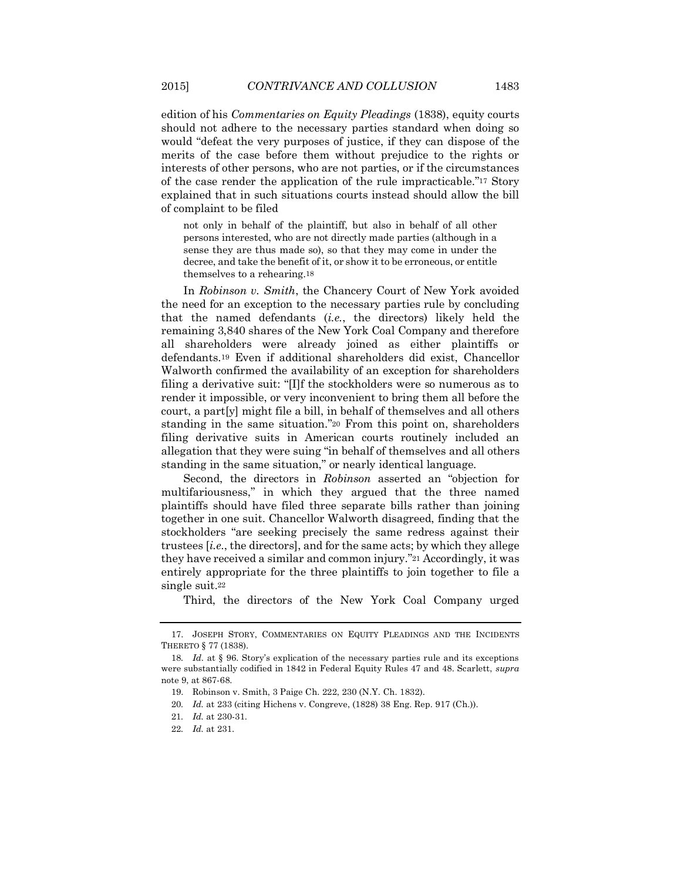edition of his *Commentaries on Equity Pleadings* (1838), equity courts should not adhere to the necessary parties standard when doing so would "defeat the very purposes of justice, if they can dispose of the merits of the case before them without prejudice to the rights or interests of other persons, who are not parties, or if the circumstances of the case render the application of the rule impracticable."<sup>17</sup> Story explained that in such situations courts instead should allow the bill of complaint to be filed

not only in behalf of the plaintiff, but also in behalf of all other persons interested, who are not directly made parties (although in a sense they are thus made so), so that they may come in under the decree, and take the benefit of it, or show it to be erroneous, or entitle themselves to a rehearing.18

In *Robinson v. Smith*, the Chancery Court of New York avoided the need for an exception to the necessary parties rule by concluding that the named defendants (*i.e.*, the directors) likely held the remaining 3,840 shares of the New York Coal Company and therefore all shareholders were already joined as either plaintiffs or defendants.<sup>19</sup> Even if additional shareholders did exist, Chancellor Walworth confirmed the availability of an exception for shareholders filing a derivative suit: "[I]f the stockholders were so numerous as to render it impossible, or very inconvenient to bring them all before the court, a part[y] might file a bill, in behalf of themselves and all others standing in the same situation."<sup>20</sup> From this point on, shareholders filing derivative suits in American courts routinely included an allegation that they were suing "in behalf of themselves and all others standing in the same situation," or nearly identical language.

Second, the directors in *Robinson* asserted an "objection for multifariousness," in which they argued that the three named plaintiffs should have filed three separate bills rather than joining together in one suit. Chancellor Walworth disagreed, finding that the stockholders "are seeking precisely the same redress against their trustees [*i.e*., the directors], and for the same acts; by which they allege they have received a similar and common injury."<sup>21</sup> Accordingly, it was entirely appropriate for the three plaintiffs to join together to file a single suit.<sup>22</sup>

Third, the directors of the New York Coal Company urged

<sup>17.</sup> JOSEPH STORY, COMMENTARIES ON EQUITY PLEADINGS AND THE INCIDENTS THERETO § 77 (1838).

<sup>18</sup>*. Id*. at § 96. Story's explication of the necessary parties rule and its exceptions were substantially codified in 1842 in Federal Equity Rules 47 and 48. Scarlett, *supra*  note 9, at 867-68.

<sup>19.</sup> Robinson v. Smith, 3 Paige Ch. 222, 230 (N.Y. Ch. 1832).

<sup>20</sup>*. Id.* at 233 (citing Hichens v. Congreve, (1828) 38 Eng. Rep. 917 (Ch.)).

<sup>21</sup>*. Id.* at 230-31.

<sup>22</sup>*. Id.* at 231.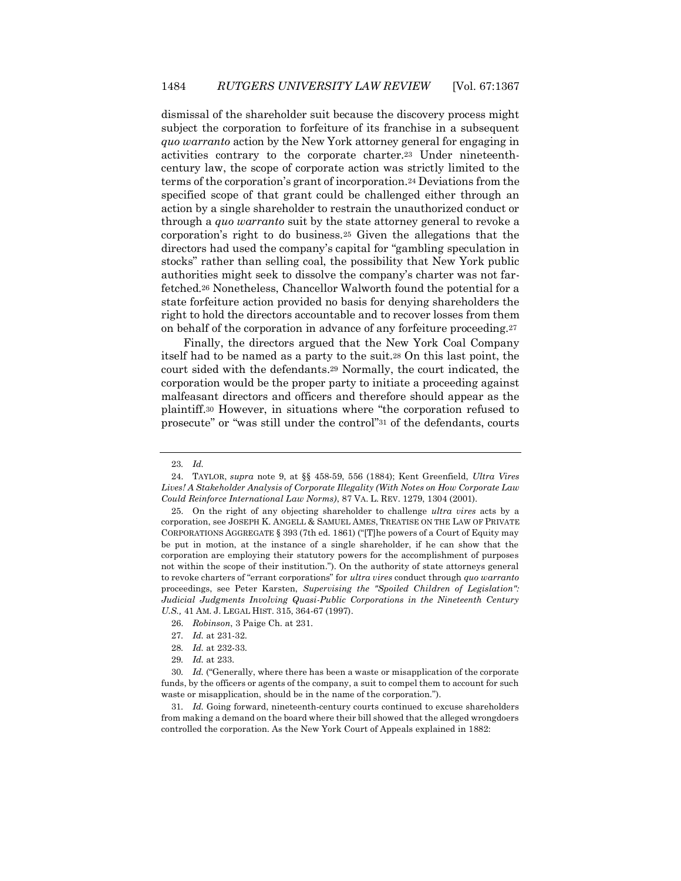dismissal of the shareholder suit because the discovery process might subject the corporation to forfeiture of its franchise in a subsequent *quo warranto* action by the New York attorney general for engaging in activities contrary to the corporate charter.<sup>23</sup> Under nineteenthcentury law, the scope of corporate action was strictly limited to the terms of the corporation's grant of incorporation.<sup>24</sup> Deviations from the specified scope of that grant could be challenged either through an action by a single shareholder to restrain the unauthorized conduct or through a *quo warranto* suit by the state attorney general to revoke a corporation's right to do business.<sup>25</sup> Given the allegations that the directors had used the company's capital for "gambling speculation in stocks" rather than selling coal, the possibility that New York public authorities might seek to dissolve the company's charter was not farfetched.<sup>26</sup> Nonetheless, Chancellor Walworth found the potential for a state forfeiture action provided no basis for denying shareholders the right to hold the directors accountable and to recover losses from them on behalf of the corporation in advance of any forfeiture proceeding.<sup>27</sup>

Finally, the directors argued that the New York Coal Company itself had to be named as a party to the suit.<sup>28</sup> On this last point, the court sided with the defendants.<sup>29</sup> Normally, the court indicated, the corporation would be the proper party to initiate a proceeding against malfeasant directors and officers and therefore should appear as the plaintiff.<sup>30</sup> However, in situations where "the corporation refused to prosecute" or "was still under the control"<sup>31</sup> of the defendants, courts

<sup>23</sup>*. Id.*

<sup>24.</sup> TAYLOR, *supra* note 9, at §§ 458-59, 556 (1884); Kent Greenfield, *Ultra Vires Lives! A Stakeholder Analysis of Corporate Illegality (With Notes on How Corporate Law Could Reinforce International Law Norms)*, 87 VA. L. REV. 1279, 1304 (2001).

<sup>25.</sup> On the right of any objecting shareholder to challenge *ultra vires* acts by a corporation, see JOSEPH K. ANGELL & SAMUEL AMES, TREATISE ON THE LAW OF PRIVATE CORPORATIONS AGGREGATE § 393 (7th ed. 1861) ("[T]he powers of a Court of Equity may be put in motion, at the instance of a single shareholder, if he can show that the corporation are employing their statutory powers for the accomplishment of purposes not within the scope of their institution."). On the authority of state attorneys general to revoke charters of "errant corporations" for *ultra vires* conduct through *quo warranto* proceedings, see Peter Karsten, *Supervising the "Spoiled Children of Legislation": Judicial Judgments Involving Quasi-Public Corporations in the Nineteenth Century U.S.,* 41 AM. J. LEGAL HIST. 315, 364-67 (1997).

<sup>26.</sup> *Robinson*, 3 Paige Ch. at 231.

<sup>27</sup>*. Id.* at 231-32.

<sup>28</sup>*. Id.* at 232-33.

<sup>29</sup>*. Id.* at 233.

<sup>30</sup>*. Id.* ("Generally, where there has been a waste or misapplication of the corporate funds, by the officers or agents of the company, a suit to compel them to account for such waste or misapplication, should be in the name of the corporation.").

<sup>31</sup>*. Id.* Going forward, nineteenth-century courts continued to excuse shareholders from making a demand on the board where their bill showed that the alleged wrongdoers controlled the corporation. As the New York Court of Appeals explained in 1882: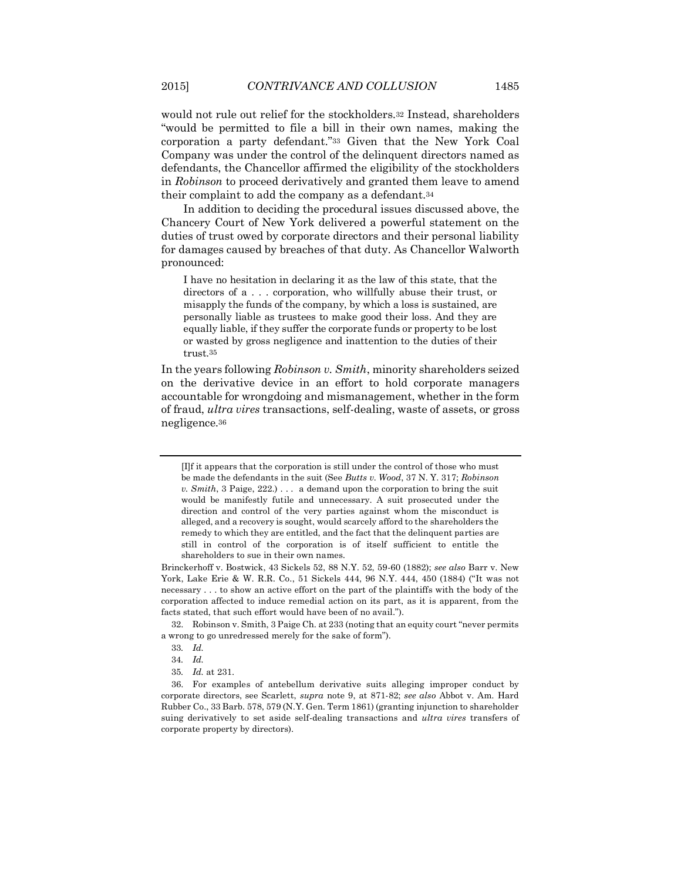would not rule out relief for the stockholders.<sup>32</sup> Instead, shareholders "would be permitted to file a bill in their own names, making the corporation a party defendant."<sup>33</sup> Given that the New York Coal Company was under the control of the delinquent directors named as defendants, the Chancellor affirmed the eligibility of the stockholders in *Robinson* to proceed derivatively and granted them leave to amend their complaint to add the company as a defendant.<sup>34</sup>

In addition to deciding the procedural issues discussed above, the Chancery Court of New York delivered a powerful statement on the duties of trust owed by corporate directors and their personal liability for damages caused by breaches of that duty. As Chancellor Walworth pronounced:

I have no hesitation in declaring it as the law of this state, that the directors of a . . . corporation, who willfully abuse their trust, or misapply the funds of the company, by which a loss is sustained, are personally liable as trustees to make good their loss. And they are equally liable, if they suffer the corporate funds or property to be lost or wasted by gross negligence and inattention to the duties of their trust.35

In the years following *Robinson v. Smith*, minority shareholders seized on the derivative device in an effort to hold corporate managers accountable for wrongdoing and mismanagement, whether in the form of fraud, *ultra vires* transactions, self-dealing, waste of assets, or gross negligence.<sup>36</sup>

<sup>[</sup>I]f it appears that the corporation is still under the control of those who must be made the defendants in the suit (See *Butts v. Wood*, 37 N. Y. 317; *Robinson v. Smith*, 3 Paige, 222.) . . . a demand upon the corporation to bring the suit would be manifestly futile and unnecessary. A suit prosecuted under the direction and control of the very parties against whom the misconduct is alleged, and a recovery is sought, would scarcely afford to the shareholders the remedy to which they are entitled, and the fact that the delinquent parties are still in control of the corporation is of itself sufficient to entitle the shareholders to sue in their own names.

Brinckerhoff v. Bostwick, 43 Sickels 52, 88 N.Y. 52, 59-60 (1882); *see also* Barr v. New York, Lake Erie & W. R.R. Co., 51 Sickels 444, 96 N.Y. 444, 450 (1884) ("It was not necessary . . . to show an active effort on the part of the plaintiffs with the body of the corporation affected to induce remedial action on its part, as it is apparent, from the facts stated, that such effort would have been of no avail.").

<sup>32.</sup> Robinson v. Smith, 3 Paige Ch. at 233 (noting that an equity court "never permits a wrong to go unredressed merely for the sake of form").

<sup>33</sup>*. Id.*

<sup>34</sup>*. Id.*

<sup>35</sup>*. Id.* at 231.

<sup>36.</sup> For examples of antebellum derivative suits alleging improper conduct by corporate directors, see Scarlett, *supra* note 9, at 871-82; *see also* Abbot v. Am. Hard Rubber Co., 33 Barb. 578, 579 (N.Y. Gen. Term 1861) (granting injunction to shareholder suing derivatively to set aside self-dealing transactions and *ultra vires* transfers of corporate property by directors).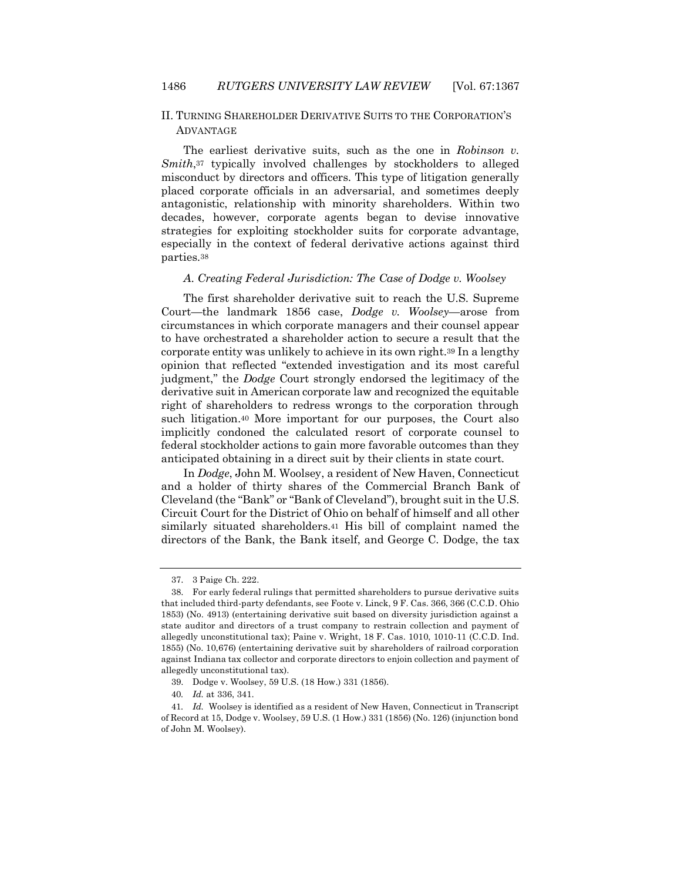### II. TURNING SHAREHOLDER DERIVATIVE SUITS TO THE CORPORATION'S ADVANTAGE

The earliest derivative suits, such as the one in *Robinson v. Smith*,<sup>37</sup> typically involved challenges by stockholders to alleged misconduct by directors and officers. This type of litigation generally placed corporate officials in an adversarial, and sometimes deeply antagonistic, relationship with minority shareholders. Within two decades, however, corporate agents began to devise innovative strategies for exploiting stockholder suits for corporate advantage, especially in the context of federal derivative actions against third parties.<sup>38</sup>

#### *A. Creating Federal Jurisdiction: The Case of Dodge v. Woolsey*

The first shareholder derivative suit to reach the U.S. Supreme Court—the landmark 1856 case, *Dodge v. Woolsey*—arose from circumstances in which corporate managers and their counsel appear to have orchestrated a shareholder action to secure a result that the corporate entity was unlikely to achieve in its own right.<sup>39</sup> In a lengthy opinion that reflected "extended investigation and its most careful judgment," the *Dodge* Court strongly endorsed the legitimacy of the derivative suit in American corporate law and recognized the equitable right of shareholders to redress wrongs to the corporation through such litigation.<sup>40</sup> More important for our purposes, the Court also implicitly condoned the calculated resort of corporate counsel to federal stockholder actions to gain more favorable outcomes than they anticipated obtaining in a direct suit by their clients in state court.

In *Dodge*, John M. Woolsey, a resident of New Haven, Connecticut and a holder of thirty shares of the Commercial Branch Bank of Cleveland (the "Bank" or "Bank of Cleveland"), brought suit in the U.S. Circuit Court for the District of Ohio on behalf of himself and all other similarly situated shareholders.<sup>41</sup> His bill of complaint named the directors of the Bank, the Bank itself, and George C. Dodge, the tax

<sup>37.</sup> 3 Paige Ch. 222.

<sup>38.</sup> For early federal rulings that permitted shareholders to pursue derivative suits that included third-party defendants, see Foote v. Linck, 9 F. Cas. 366, 366 (C.C.D. Ohio 1853) (No. 4913) (entertaining derivative suit based on diversity jurisdiction against a state auditor and directors of a trust company to restrain collection and payment of allegedly unconstitutional tax); Paine v. Wright, 18 F. Cas. 1010, 1010-11 (C.C.D. Ind. 1855) (No. 10,676) (entertaining derivative suit by shareholders of railroad corporation against Indiana tax collector and corporate directors to enjoin collection and payment of allegedly unconstitutional tax).

<sup>39.</sup> Dodge v. Woolsey, 59 U.S. (18 How.) 331 (1856).

<sup>40</sup>*. Id.* at 336, 341.

<sup>41</sup>*. Id.* Woolsey is identified as a resident of New Haven, Connecticut in Transcript of Record at 15, Dodge v. Woolsey, 59 U.S. (1 How.) 331 (1856) (No. 126) (injunction bond of John M. Woolsey).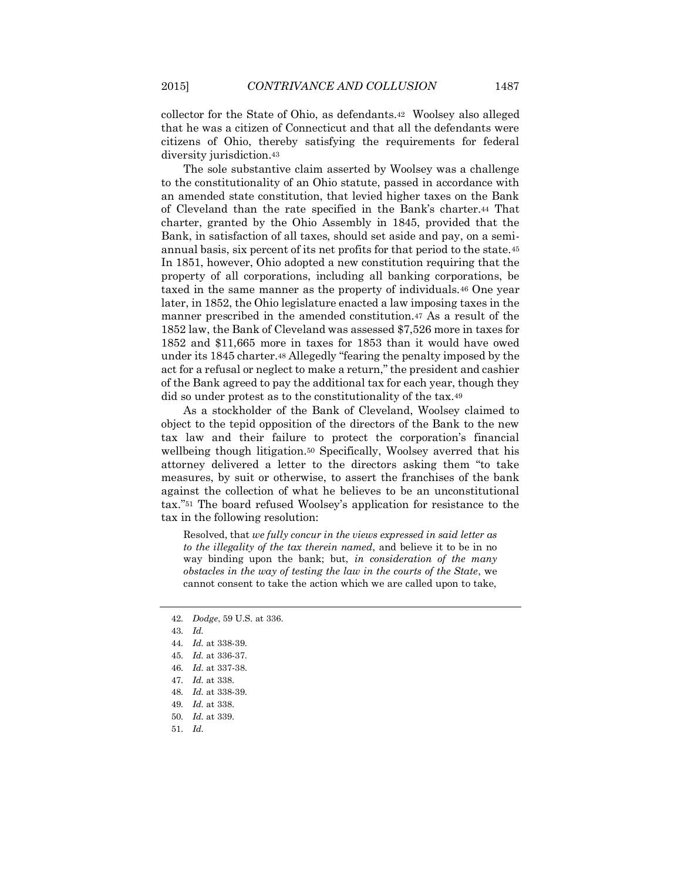collector for the State of Ohio, as defendants.42 Woolsey also alleged that he was a citizen of Connecticut and that all the defendants were citizens of Ohio, thereby satisfying the requirements for federal diversity jurisdiction.<sup>43</sup>

The sole substantive claim asserted by Woolsey was a challenge to the constitutionality of an Ohio statute, passed in accordance with an amended state constitution, that levied higher taxes on the Bank of Cleveland than the rate specified in the Bank's charter.<sup>44</sup> That charter, granted by the Ohio Assembly in 1845, provided that the Bank, in satisfaction of all taxes, should set aside and pay, on a semiannual basis, six percent of its net profits for that period to the state.<sup>45</sup> In 1851, however, Ohio adopted a new constitution requiring that the property of all corporations, including all banking corporations, be taxed in the same manner as the property of individuals.<sup>46</sup> One year later, in 1852, the Ohio legislature enacted a law imposing taxes in the manner prescribed in the amended constitution.<sup>47</sup> As a result of the 1852 law, the Bank of Cleveland was assessed \$7,526 more in taxes for 1852 and \$11,665 more in taxes for 1853 than it would have owed under its 1845 charter.<sup>48</sup> Allegedly "fearing the penalty imposed by the act for a refusal or neglect to make a return," the president and cashier of the Bank agreed to pay the additional tax for each year, though they did so under protest as to the constitutionality of the tax.<sup>49</sup>

As a stockholder of the Bank of Cleveland, Woolsey claimed to object to the tepid opposition of the directors of the Bank to the new tax law and their failure to protect the corporation's financial wellbeing though litigation.<sup>50</sup> Specifically, Woolsey averred that his attorney delivered a letter to the directors asking them "to take measures, by suit or otherwise, to assert the franchises of the bank against the collection of what he believes to be an unconstitutional tax."<sup>51</sup> The board refused Woolsey's application for resistance to the tax in the following resolution:

Resolved, that *we fully concur in the views expressed in said letter as to the illegality of the tax therein named*, and believe it to be in no way binding upon the bank; but, *in consideration of the many obstacles in the way of testing the law in the courts of the State*, we cannot consent to take the action which we are called upon to take,

<sup>42</sup>*. Dodge*, 59 U.S. at 336.

<sup>43</sup>*. Id.*

<sup>44</sup>*. Id.* at 338-39.

<sup>45</sup>*. Id.* at 336-37.

<sup>46</sup>*. Id.* at 337-38.

<sup>47</sup>*. Id.* at 338.

<sup>48</sup>*. Id.* at 338-39.

<sup>49</sup>*. Id.* at 338.

<sup>50</sup>*. Id.* at 339.

<sup>51</sup>*. Id.*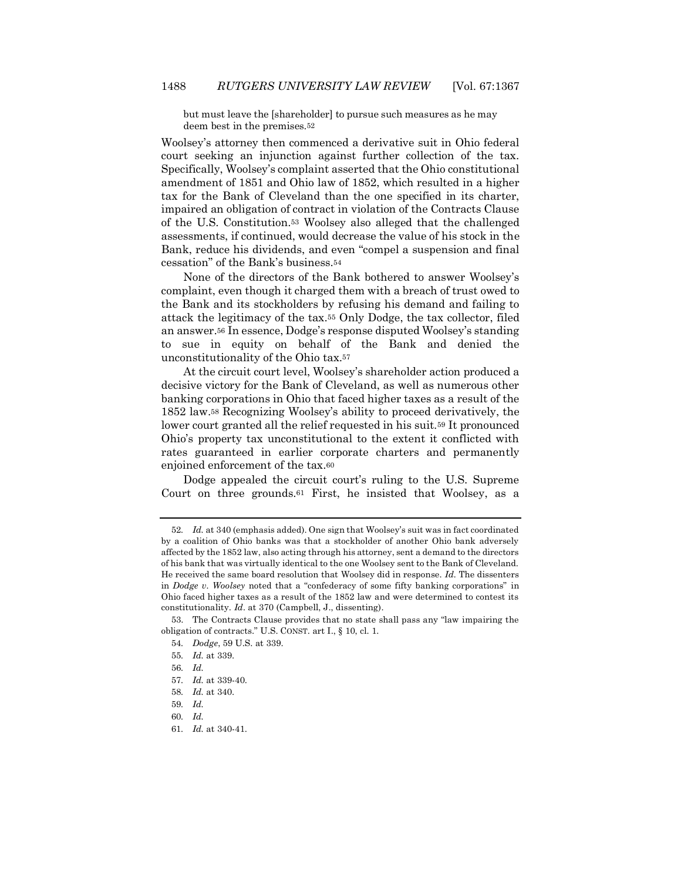but must leave the [shareholder] to pursue such measures as he may deem best in the premises.52

Woolsey's attorney then commenced a derivative suit in Ohio federal court seeking an injunction against further collection of the tax. Specifically, Woolsey's complaint asserted that the Ohio constitutional amendment of 1851 and Ohio law of 1852, which resulted in a higher tax for the Bank of Cleveland than the one specified in its charter, impaired an obligation of contract in violation of the Contracts Clause of the U.S. Constitution.<sup>53</sup> Woolsey also alleged that the challenged assessments, if continued, would decrease the value of his stock in the Bank, reduce his dividends, and even "compel a suspension and final cessation" of the Bank's business.<sup>54</sup>

None of the directors of the Bank bothered to answer Woolsey's complaint, even though it charged them with a breach of trust owed to the Bank and its stockholders by refusing his demand and failing to attack the legitimacy of the tax.<sup>55</sup> Only Dodge, the tax collector, filed an answer.<sup>56</sup> In essence, Dodge's response disputed Woolsey's standing to sue in equity on behalf of the Bank and denied the unconstitutionality of the Ohio tax.<sup>57</sup>

At the circuit court level, Woolsey's shareholder action produced a decisive victory for the Bank of Cleveland, as well as numerous other banking corporations in Ohio that faced higher taxes as a result of the 1852 law.<sup>58</sup> Recognizing Woolsey's ability to proceed derivatively, the lower court granted all the relief requested in his suit.<sup>59</sup> It pronounced Ohio's property tax unconstitutional to the extent it conflicted with rates guaranteed in earlier corporate charters and permanently enjoined enforcement of the tax.<sup>60</sup>

Dodge appealed the circuit court's ruling to the U.S. Supreme Court on three grounds.<sup>61</sup> First, he insisted that Woolsey, as a

<sup>52</sup>*. Id.* at 340 (emphasis added). One sign that Woolsey's suit was in fact coordinated by a coalition of Ohio banks was that a stockholder of another Ohio bank adversely affected by the 1852 law, also acting through his attorney, sent a demand to the directors of his bank that was virtually identical to the one Woolsey sent to the Bank of Cleveland. He received the same board resolution that Woolsey did in response. *Id.* The dissenters in *Dodge v. Woolsey* noted that a "confederacy of some fifty banking corporations" in Ohio faced higher taxes as a result of the 1852 law and were determined to contest its constitutionality. *Id.* at 370 (Campbell, J., dissenting).

<sup>53.</sup> The Contracts Clause provides that no state shall pass any "law impairing the obligation of contracts." U.S. CONST. art I., § 10, cl. 1.

<sup>54</sup>*. Dodge*, 59 U.S. at 339.

<sup>55</sup>*. Id.* at 339.

<sup>56</sup>*. Id.*

<sup>57</sup>*. Id.* at 339-40.

<sup>58</sup>*. Id.* at 340.

<sup>59</sup>*. Id.*

<sup>60</sup>*. Id.*

<sup>61</sup>*. Id.* at 340-41.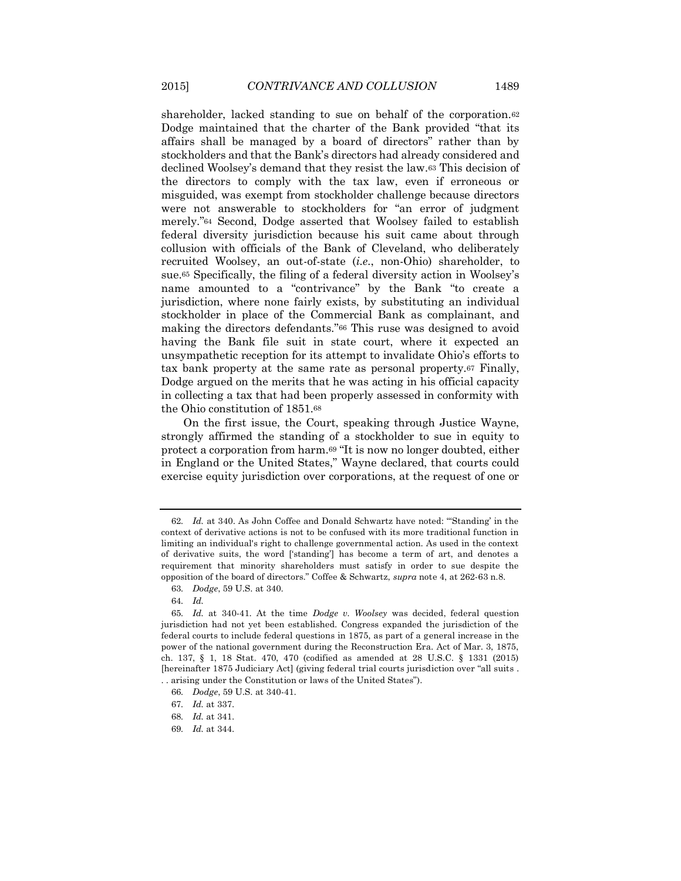shareholder, lacked standing to sue on behalf of the corporation.<sup>62</sup> Dodge maintained that the charter of the Bank provided "that its affairs shall be managed by a board of directors" rather than by stockholders and that the Bank's directors had already considered and declined Woolsey's demand that they resist the law.<sup>63</sup> This decision of the directors to comply with the tax law, even if erroneous or misguided, was exempt from stockholder challenge because directors were not answerable to stockholders for "an error of judgment merely."<sup>64</sup> Second, Dodge asserted that Woolsey failed to establish federal diversity jurisdiction because his suit came about through collusion with officials of the Bank of Cleveland, who deliberately recruited Woolsey, an out-of-state (*i.e.*, non-Ohio) shareholder, to sue.<sup>65</sup> Specifically, the filing of a federal diversity action in Woolsey's name amounted to a "contrivance" by the Bank "to create a jurisdiction, where none fairly exists, by substituting an individual stockholder in place of the Commercial Bank as complainant, and making the directors defendants."<sup>66</sup> This ruse was designed to avoid having the Bank file suit in state court, where it expected an unsympathetic reception for its attempt to invalidate Ohio's efforts to tax bank property at the same rate as personal property.<sup>67</sup> Finally, Dodge argued on the merits that he was acting in his official capacity in collecting a tax that had been properly assessed in conformity with the Ohio constitution of 1851.<sup>68</sup>

On the first issue, the Court, speaking through Justice Wayne, strongly affirmed the standing of a stockholder to sue in equity to protect a corporation from harm.<sup>69</sup> "It is now no longer doubted, either in England or the United States," Wayne declared, that courts could exercise equity jurisdiction over corporations, at the request of one or

<sup>62</sup>*. Id.* at 340. As John Coffee and Donald Schwartz have noted: "'Standing' in the context of derivative actions is not to be confused with its more traditional function in limiting an individual's right to challenge governmental action. As used in the context of derivative suits, the word ['standing'] has become a term of art, and denotes a requirement that minority shareholders must satisfy in order to sue despite the opposition of the board of directors." Coffee & Schwartz, *supra* note 4, at 262-63 n.8.

<sup>63</sup>*. Dodge*, 59 U.S. at 340.

<sup>64</sup>*. Id.*

<sup>65</sup>*. Id.* at 340-41. At the time *Dodge v. Woolsey* was decided, federal question jurisdiction had not yet been established. Congress expanded the jurisdiction of the federal courts to include federal questions in 1875, as part of a general increase in the power of the national government during the Reconstruction Era. Act of Mar. 3, 1875, ch. 137, § 1, 18 Stat. 470, 470 (codified as amended at 28 U.S.C. § 1331 (2015) [hereinafter 1875 Judiciary Act] (giving federal trial courts jurisdiction over "all suits . . . arising under the Constitution or laws of the United States").

<sup>66</sup>*. Dodge*, 59 U.S. at 340-41.

<sup>67</sup>*. Id.* at 337.

<sup>68</sup>*. Id.* at 341.

<sup>69</sup>*. Id.* at 344.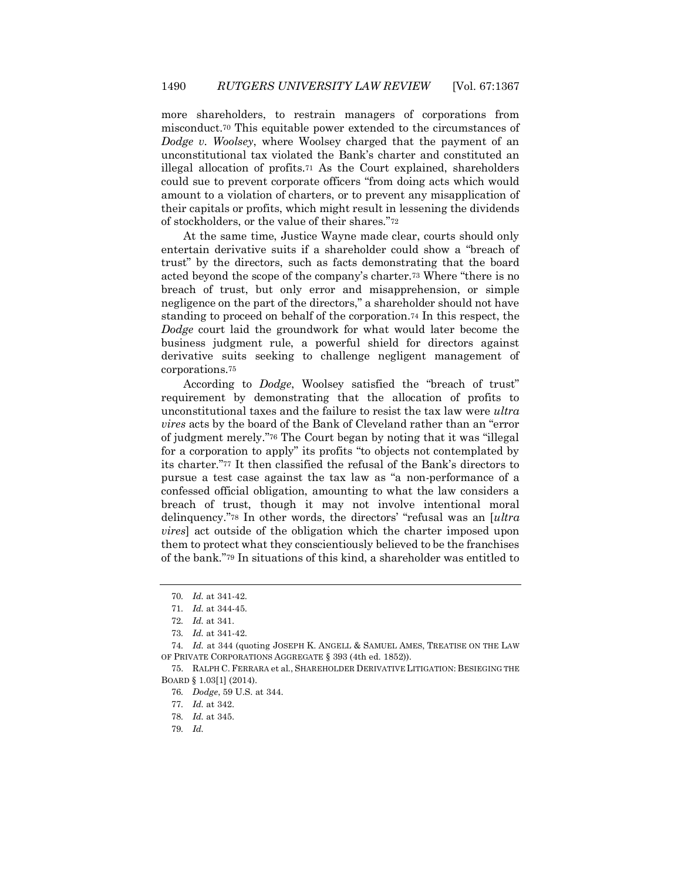more shareholders, to restrain managers of corporations from misconduct.<sup>70</sup> This equitable power extended to the circumstances of *Dodge v. Woolsey*, where Woolsey charged that the payment of an unconstitutional tax violated the Bank's charter and constituted an illegal allocation of profits.<sup>71</sup> As the Court explained, shareholders could sue to prevent corporate officers "from doing acts which would amount to a violation of charters, or to prevent any misapplication of their capitals or profits, which might result in lessening the dividends of stockholders, or the value of their shares."<sup>72</sup>

At the same time, Justice Wayne made clear, courts should only entertain derivative suits if a shareholder could show a "breach of trust" by the directors, such as facts demonstrating that the board acted beyond the scope of the company's charter.<sup>73</sup> Where "there is no breach of trust, but only error and misapprehension, or simple negligence on the part of the directors," a shareholder should not have standing to proceed on behalf of the corporation.<sup>74</sup> In this respect, the *Dodge* court laid the groundwork for what would later become the business judgment rule, a powerful shield for directors against derivative suits seeking to challenge negligent management of corporations.<sup>75</sup>

According to *Dodge*, Woolsey satisfied the "breach of trust" requirement by demonstrating that the allocation of profits to unconstitutional taxes and the failure to resist the tax law were *ultra vires* acts by the board of the Bank of Cleveland rather than an "error of judgment merely."<sup>76</sup> The Court began by noting that it was "illegal for a corporation to apply" its profits "to objects not contemplated by its charter."<sup>77</sup> It then classified the refusal of the Bank's directors to pursue a test case against the tax law as "a non-performance of a confessed official obligation, amounting to what the law considers a breach of trust, though it may not involve intentional moral delinquency."<sup>78</sup> In other words, the directors' "refusal was an [*ultra vires*] act outside of the obligation which the charter imposed upon them to protect what they conscientiously believed to be the franchises of the bank."<sup>79</sup> In situations of this kind, a shareholder was entitled to

<sup>70</sup>*. Id.* at 341-42.

<sup>71</sup>*. Id.* at 344-45.

<sup>72</sup>*. Id.* at 341.

<sup>73</sup>*. Id.* at 341-42.

<sup>74</sup>*. Id.* at 344 (quoting JOSEPH K. ANGELL & SAMUEL AMES, TREATISE ON THE LAW OF PRIVATE CORPORATIONS AGGREGATE § 393 (4th ed. 1852)).

<sup>75.</sup> RALPH C. FERRARA et al*.*, SHAREHOLDER DERIVATIVE LITIGATION: BESIEGING THE BOARD § 1.03[1] (2014).

<sup>76</sup>*. Dodge*, 59 U.S. at 344.

<sup>77</sup>*. Id.* at 342.

<sup>78</sup>*. Id.* at 345.

<sup>79</sup>*. Id.*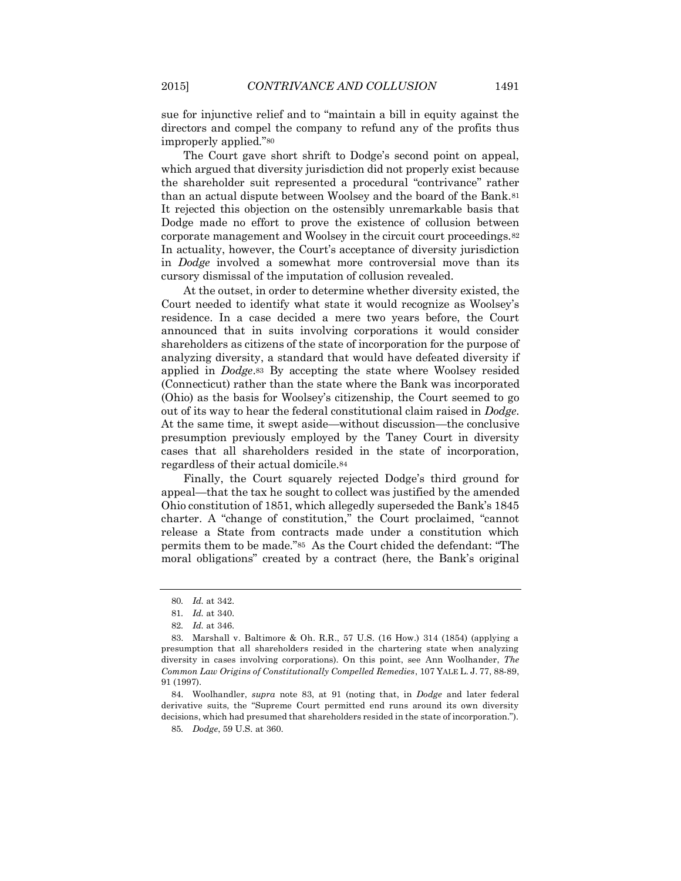sue for injunctive relief and to "maintain a bill in equity against the directors and compel the company to refund any of the profits thus improperly applied."<sup>80</sup>

The Court gave short shrift to Dodge's second point on appeal, which argued that diversity jurisdiction did not properly exist because the shareholder suit represented a procedural "contrivance" rather than an actual dispute between Woolsey and the board of the Bank.<sup>81</sup> It rejected this objection on the ostensibly unremarkable basis that Dodge made no effort to prove the existence of collusion between corporate management and Woolsey in the circuit court proceedings.<sup>82</sup> In actuality, however, the Court's acceptance of diversity jurisdiction in *Dodge* involved a somewhat more controversial move than its cursory dismissal of the imputation of collusion revealed.

At the outset, in order to determine whether diversity existed, the Court needed to identify what state it would recognize as Woolsey's residence. In a case decided a mere two years before, the Court announced that in suits involving corporations it would consider shareholders as citizens of the state of incorporation for the purpose of analyzing diversity, a standard that would have defeated diversity if applied in *Dodge*.<sup>83</sup> By accepting the state where Woolsey resided (Connecticut) rather than the state where the Bank was incorporated (Ohio) as the basis for Woolsey's citizenship, the Court seemed to go out of its way to hear the federal constitutional claim raised in *Dodge*. At the same time, it swept aside—without discussion—the conclusive presumption previously employed by the Taney Court in diversity cases that all shareholders resided in the state of incorporation, regardless of their actual domicile.<sup>84</sup>

Finally, the Court squarely rejected Dodge's third ground for appeal—that the tax he sought to collect was justified by the amended Ohio constitution of 1851, which allegedly superseded the Bank's 1845 charter. A "change of constitution," the Court proclaimed, "cannot release a State from contracts made under a constitution which permits them to be made."85 As the Court chided the defendant: "The moral obligations" created by a contract (here, the Bank's original

84. Woolhandler, *supra* note 83, at 91 (noting that, in *Dodge* and later federal derivative suits, the "Supreme Court permitted end runs around its own diversity decisions, which had presumed that shareholders resided in the state of incorporation.").

<sup>80</sup>*. Id.* at 342.

<sup>81</sup>*. Id.* at 340.

<sup>82</sup>*. Id.* at 346.

<sup>83.</sup> Marshall v. Baltimore & Oh. R.R., 57 U.S. (16 How.) 314 (1854) (applying a presumption that all shareholders resided in the chartering state when analyzing diversity in cases involving corporations). On this point, see Ann Woolhander, *The Common Law Origins of Constitutionally Compelled Remedies*, 107 YALE L. J. 77, 88-89, 91 (1997).

<sup>85</sup>*. Dodge*, 59 U.S. at 360.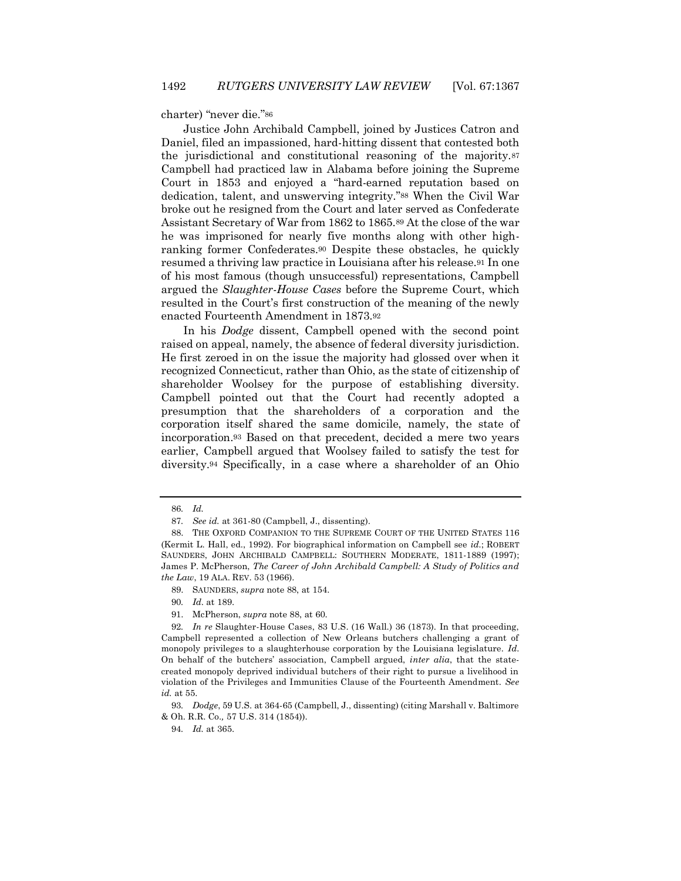charter) "never die."<sup>86</sup>

Justice John Archibald Campbell, joined by Justices Catron and Daniel, filed an impassioned, hard-hitting dissent that contested both the jurisdictional and constitutional reasoning of the majority.<sup>87</sup> Campbell had practiced law in Alabama before joining the Supreme Court in 1853 and enjoyed a "hard-earned reputation based on dedication, talent, and unswerving integrity."<sup>88</sup> When the Civil War broke out he resigned from the Court and later served as Confederate Assistant Secretary of War from 1862 to 1865.<sup>89</sup> At the close of the war he was imprisoned for nearly five months along with other highranking former Confederates.<sup>90</sup> Despite these obstacles, he quickly resumed a thriving law practice in Louisiana after his release.<sup>91</sup> In one of his most famous (though unsuccessful) representations, Campbell argued the *Slaughter-House Cases* before the Supreme Court, which resulted in the Court's first construction of the meaning of the newly enacted Fourteenth Amendment in 1873.<sup>92</sup>

In his *Dodge* dissent, Campbell opened with the second point raised on appeal, namely, the absence of federal diversity jurisdiction. He first zeroed in on the issue the majority had glossed over when it recognized Connecticut, rather than Ohio, as the state of citizenship of shareholder Woolsey for the purpose of establishing diversity. Campbell pointed out that the Court had recently adopted a presumption that the shareholders of a corporation and the corporation itself shared the same domicile, namely, the state of incorporation.<sup>93</sup> Based on that precedent, decided a mere two years earlier, Campbell argued that Woolsey failed to satisfy the test for diversity.<sup>94</sup> Specifically, in a case where a shareholder of an Ohio

90*. Id*. at 189.

<sup>86</sup>*. Id.*

<sup>87</sup>*. See id.* at 361-80 (Campbell, J., dissenting).

<sup>88.</sup> THE OXFORD COMPANION TO THE SUPREME COURT OF THE UNITED STATES 116 (Kermit L. Hall, ed., 1992). For biographical information on Campbell see *id.*; ROBERT SAUNDERS, JOHN ARCHIBALD CAMPBELL: SOUTHERN MODERATE, 1811-1889 (1997); James P. McPherson, *The Career of John Archibald Campbell: A Study of Politics and the Law*, 19 ALA. REV. 53 (1966).

<sup>89.</sup> SAUNDERS, *supra* note 88, at 154.

<sup>91.</sup> McPherson, *supra* note 88, at 60.

<sup>92</sup>*. In re* Slaughter-House Cases, 83 U.S. (16 Wall.) 36 (1873). In that proceeding, Campbell represented a collection of New Orleans butchers challenging a grant of monopoly privileges to a slaughterhouse corporation by the Louisiana legislature. *Id*. On behalf of the butchers' association, Campbell argued, *inter alia*, that the statecreated monopoly deprived individual butchers of their right to pursue a livelihood in violation of the Privileges and Immunities Clause of the Fourteenth Amendment. *See id.* at 55.

<sup>93</sup>*. Dodge*, 59 U.S. at 364-65 (Campbell, J., dissenting) (citing Marshall v. Baltimore & Oh. R.R. Co.*,* 57 U.S. 314 (1854)).

<sup>94</sup>*. Id.* at 365.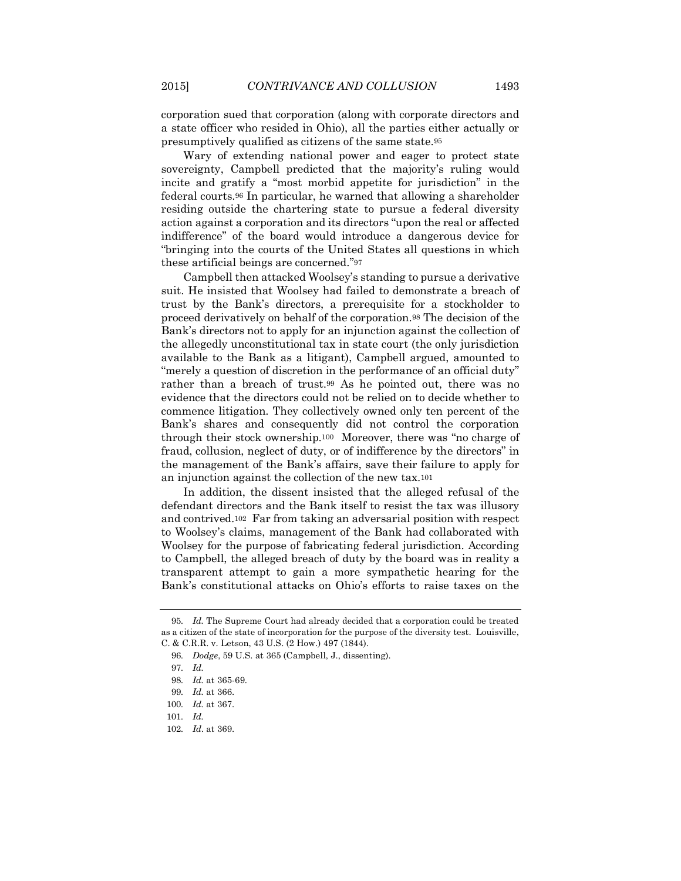corporation sued that corporation (along with corporate directors and a state officer who resided in Ohio), all the parties either actually or presumptively qualified as citizens of the same state.<sup>95</sup>

Wary of extending national power and eager to protect state sovereignty, Campbell predicted that the majority's ruling would incite and gratify a "most morbid appetite for jurisdiction" in the federal courts.<sup>96</sup> In particular, he warned that allowing a shareholder residing outside the chartering state to pursue a federal diversity action against a corporation and its directors "upon the real or affected indifference" of the board would introduce a dangerous device for "bringing into the courts of the United States all questions in which these artificial beings are concerned."<sup>97</sup>

Campbell then attacked Woolsey's standing to pursue a derivative suit. He insisted that Woolsey had failed to demonstrate a breach of trust by the Bank's directors, a prerequisite for a stockholder to proceed derivatively on behalf of the corporation.<sup>98</sup> The decision of the Bank's directors not to apply for an injunction against the collection of the allegedly unconstitutional tax in state court (the only jurisdiction available to the Bank as a litigant), Campbell argued, amounted to "merely a question of discretion in the performance of an official duty" rather than a breach of trust.<sup>99</sup> As he pointed out, there was no evidence that the directors could not be relied on to decide whether to commence litigation. They collectively owned only ten percent of the Bank's shares and consequently did not control the corporation through their stock ownership.<sup>100</sup> Moreover, there was "no charge of fraud, collusion, neglect of duty, or of indifference by the directors" in the management of the Bank's affairs, save their failure to apply for an injunction against the collection of the new tax.<sup>101</sup>

In addition, the dissent insisted that the alleged refusal of the defendant directors and the Bank itself to resist the tax was illusory and contrived.102 Far from taking an adversarial position with respect to Woolsey's claims, management of the Bank had collaborated with Woolsey for the purpose of fabricating federal jurisdiction. According to Campbell, the alleged breach of duty by the board was in reality a transparent attempt to gain a more sympathetic hearing for the Bank's constitutional attacks on Ohio's efforts to raise taxes on the

<sup>95</sup>*. Id.* The Supreme Court had already decided that a corporation could be treated as a citizen of the state of incorporation for the purpose of the diversity test. Louisville, C. & C.R.R. v. Letson, 43 U.S. (2 How.) 497 (1844).

<sup>96</sup>*. Dodge*, 59 U.S. at 365 (Campbell, J., dissenting).

<sup>97</sup>*. Id.*

<sup>98</sup>*. Id.* at 365-69.

<sup>99</sup>*. Id.* at 366.

<sup>100</sup>*. Id.* at 367.

<sup>101</sup>*. Id.*

<sup>102</sup>*. Id*. at 369.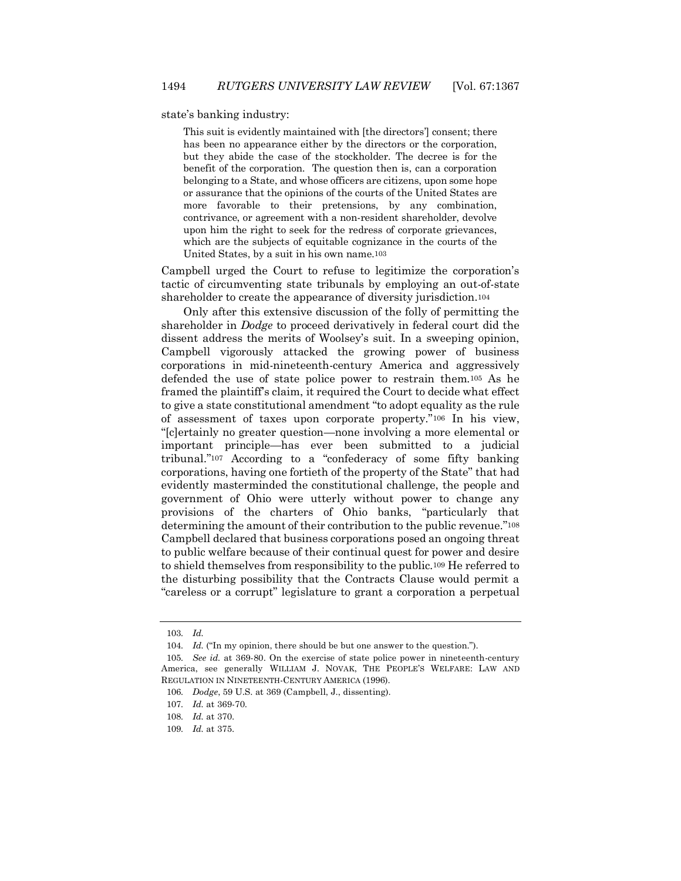state's banking industry:

This suit is evidently maintained with [the directors'] consent; there has been no appearance either by the directors or the corporation, but they abide the case of the stockholder. The decree is for the benefit of the corporation. The question then is, can a corporation belonging to a State, and whose officers are citizens, upon some hope or assurance that the opinions of the courts of the United States are more favorable to their pretensions, by any combination, contrivance, or agreement with a non-resident shareholder, devolve upon him the right to seek for the redress of corporate grievances, which are the subjects of equitable cognizance in the courts of the United States, by a suit in his own name.103

Campbell urged the Court to refuse to legitimize the corporation's tactic of circumventing state tribunals by employing an out-of-state shareholder to create the appearance of diversity jurisdiction.<sup>104</sup>

Only after this extensive discussion of the folly of permitting the shareholder in *Dodge* to proceed derivatively in federal court did the dissent address the merits of Woolsey's suit. In a sweeping opinion, Campbell vigorously attacked the growing power of business corporations in mid-nineteenth-century America and aggressively defended the use of state police power to restrain them.<sup>105</sup> As he framed the plaintiff's claim, it required the Court to decide what effect to give a state constitutional amendment "to adopt equality as the rule of assessment of taxes upon corporate property."<sup>106</sup> In his view, "[c]ertainly no greater question—none involving a more elemental or important principle—has ever been submitted to a judicial tribunal."<sup>107</sup> According to a "confederacy of some fifty banking corporations, having one fortieth of the property of the State" that had evidently masterminded the constitutional challenge, the people and government of Ohio were utterly without power to change any provisions of the charters of Ohio banks, "particularly that determining the amount of their contribution to the public revenue."<sup>108</sup> Campbell declared that business corporations posed an ongoing threat to public welfare because of their continual quest for power and desire to shield themselves from responsibility to the public.<sup>109</sup> He referred to the disturbing possibility that the Contracts Clause would permit a "careless or a corrupt" legislature to grant a corporation a perpetual

<sup>103</sup>*. Id.*

<sup>104.</sup> *Id.* ("In my opinion, there should be but one answer to the question.").

<sup>105</sup>*. See id.* at 369-80. On the exercise of state police power in nineteenth-century America, see generally WILLIAM J. NOVAK, THE PEOPLE'S WELFARE: LAW AND REGULATION IN NINETEENTH-CENTURY AMERICA (1996).

<sup>106</sup>*. Dodge*, 59 U.S. at 369 (Campbell, J., dissenting).

<sup>107</sup>*. Id.* at 369-70.

<sup>108</sup>*. Id.* at 370.

<sup>109</sup>*. Id.* at 375.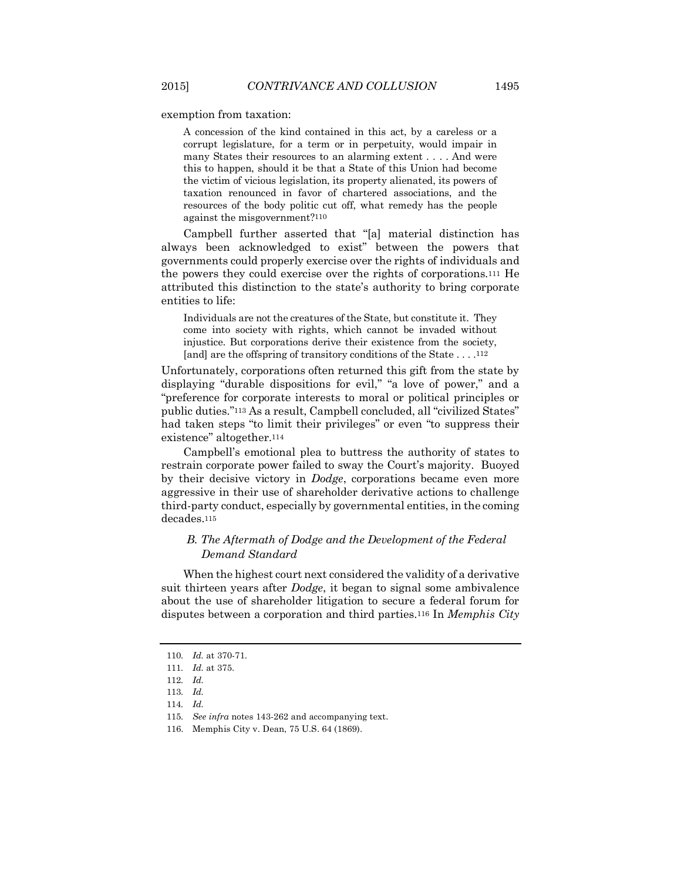exemption from taxation:

A concession of the kind contained in this act, by a careless or a corrupt legislature, for a term or in perpetuity, would impair in many States their resources to an alarming extent . . . . And were this to happen, should it be that a State of this Union had become the victim of vicious legislation, its property alienated, its powers of taxation renounced in favor of chartered associations, and the resources of the body politic cut off, what remedy has the people against the misgovernment?110

Campbell further asserted that "[a] material distinction has always been acknowledged to exist" between the powers that governments could properly exercise over the rights of individuals and the powers they could exercise over the rights of corporations.<sup>111</sup> He attributed this distinction to the state's authority to bring corporate entities to life:

Individuals are not the creatures of the State, but constitute it. They come into society with rights, which cannot be invaded without injustice. But corporations derive their existence from the society, [and] are the offspring of transitory conditions of the State . . . .112

Unfortunately, corporations often returned this gift from the state by displaying "durable dispositions for evil," "a love of power," and a "preference for corporate interests to moral or political principles or public duties."<sup>113</sup> As a result, Campbell concluded, all "civilized States" had taken steps "to limit their privileges" or even "to suppress their existence" altogether.<sup>114</sup>

Campbell's emotional plea to buttress the authority of states to restrain corporate power failed to sway the Court's majority. Buoyed by their decisive victory in *Dodge*, corporations became even more aggressive in their use of shareholder derivative actions to challenge third-party conduct, especially by governmental entities, in the coming decades.<sup>115</sup>

### *B. The Aftermath of Dodge and the Development of the Federal Demand Standard*

When the highest court next considered the validity of a derivative suit thirteen years after *Dodge*, it began to signal some ambivalence about the use of shareholder litigation to secure a federal forum for disputes between a corporation and third parties.<sup>116</sup> In *Memphis City* 

<sup>110</sup>*. Id.* at 370-71.

<sup>111</sup>*. Id.* at 375.

<sup>112</sup>*. Id.*

<sup>113</sup>*. Id.*

<sup>114</sup>*. Id.*

<sup>115</sup>*. See infra* notes 143-262 and accompanying text.

<sup>116.</sup> Memphis City v. Dean, 75 U.S. 64 (1869).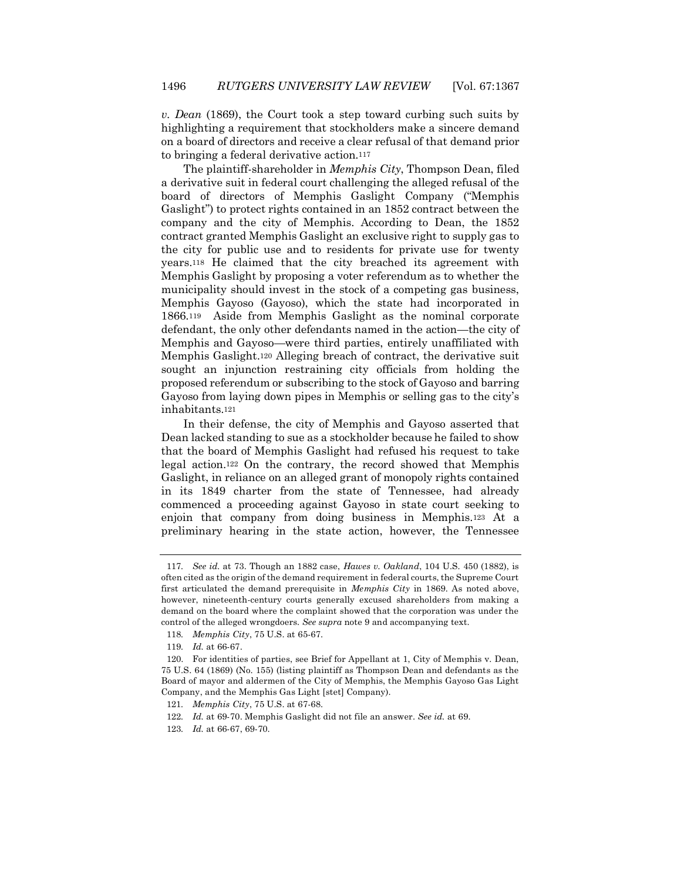*v. Dean* (1869), the Court took a step toward curbing such suits by highlighting a requirement that stockholders make a sincere demand on a board of directors and receive a clear refusal of that demand prior to bringing a federal derivative action.<sup>117</sup>

The plaintiff-shareholder in *Memphis City*, Thompson Dean, filed a derivative suit in federal court challenging the alleged refusal of the board of directors of Memphis Gaslight Company ("Memphis Gaslight") to protect rights contained in an 1852 contract between the company and the city of Memphis. According to Dean, the 1852 contract granted Memphis Gaslight an exclusive right to supply gas to the city for public use and to residents for private use for twenty years.<sup>118</sup> He claimed that the city breached its agreement with Memphis Gaslight by proposing a voter referendum as to whether the municipality should invest in the stock of a competing gas business, Memphis Gayoso (Gayoso), which the state had incorporated in 1866.119 Aside from Memphis Gaslight as the nominal corporate defendant, the only other defendants named in the action—the city of Memphis and Gayoso—were third parties, entirely unaffiliated with Memphis Gaslight.<sup>120</sup> Alleging breach of contract, the derivative suit sought an injunction restraining city officials from holding the proposed referendum or subscribing to the stock of Gayoso and barring Gayoso from laying down pipes in Memphis or selling gas to the city's inhabitants.<sup>121</sup>

In their defense, the city of Memphis and Gayoso asserted that Dean lacked standing to sue as a stockholder because he failed to show that the board of Memphis Gaslight had refused his request to take legal action.<sup>122</sup> On the contrary, the record showed that Memphis Gaslight, in reliance on an alleged grant of monopoly rights contained in its 1849 charter from the state of Tennessee, had already commenced a proceeding against Gayoso in state court seeking to enjoin that company from doing business in Memphis.<sup>123</sup> At a preliminary hearing in the state action, however, the Tennessee

118*. Memphis City*, 75 U.S. at 65-67.

<sup>117</sup>*. See id.* at 73. Though an 1882 case, *Hawes v. Oakland*, 104 U.S. 450 (1882), is often cited as the origin of the demand requirement in federal courts, the Supreme Court first articulated the demand prerequisite in *Memphis City* in 1869. As noted above, however, nineteenth-century courts generally excused shareholders from making a demand on the board where the complaint showed that the corporation was under the control of the alleged wrongdoers. *See supra* note 9 and accompanying text.

<sup>119</sup>*. Id.* at 66-67.

<sup>120.</sup> For identities of parties, see Brief for Appellant at 1, City of Memphis v. Dean, 75 U.S. 64 (1869) (No. 155) (listing plaintiff as Thompson Dean and defendants as the Board of mayor and aldermen of the City of Memphis, the Memphis Gayoso Gas Light Company, and the Memphis Gas Light [stet] Company).

<sup>121</sup>*. Memphis City*, 75 U.S. at 67-68.

<sup>122</sup>*. Id.* at 69-70. Memphis Gaslight did not file an answer. *See id.* at 69.

<sup>123</sup>*. Id.* at 66-67, 69-70.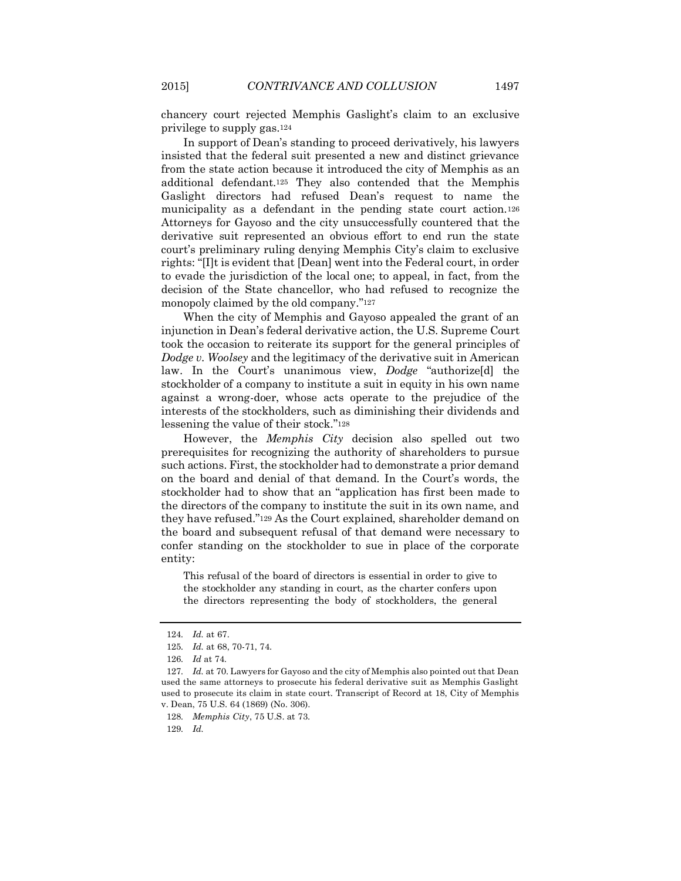chancery court rejected Memphis Gaslight's claim to an exclusive privilege to supply gas.<sup>124</sup>

In support of Dean's standing to proceed derivatively, his lawyers insisted that the federal suit presented a new and distinct grievance from the state action because it introduced the city of Memphis as an additional defendant.<sup>125</sup> They also contended that the Memphis Gaslight directors had refused Dean's request to name the municipality as a defendant in the pending state court action.<sup>126</sup> Attorneys for Gayoso and the city unsuccessfully countered that the derivative suit represented an obvious effort to end run the state court's preliminary ruling denying Memphis City's claim to exclusive rights: "[I]t is evident that [Dean] went into the Federal court, in order to evade the jurisdiction of the local one; to appeal, in fact, from the decision of the State chancellor, who had refused to recognize the monopoly claimed by the old company."<sup>127</sup>

When the city of Memphis and Gayoso appealed the grant of an injunction in Dean's federal derivative action, the U.S. Supreme Court took the occasion to reiterate its support for the general principles of *Dodge v. Woolsey* and the legitimacy of the derivative suit in American law. In the Court's unanimous view, *Dodge* "authorize[d] the stockholder of a company to institute a suit in equity in his own name against a wrong-doer, whose acts operate to the prejudice of the interests of the stockholders, such as diminishing their dividends and lessening the value of their stock."<sup>128</sup>

However, the *Memphis City* decision also spelled out two prerequisites for recognizing the authority of shareholders to pursue such actions. First, the stockholder had to demonstrate a prior demand on the board and denial of that demand. In the Court's words, the stockholder had to show that an "application has first been made to the directors of the company to institute the suit in its own name, and they have refused."<sup>129</sup> As the Court explained, shareholder demand on the board and subsequent refusal of that demand were necessary to confer standing on the stockholder to sue in place of the corporate entity:

This refusal of the board of directors is essential in order to give to the stockholder any standing in court, as the charter confers upon the directors representing the body of stockholders, the general

<sup>124</sup>*. Id.* at 67.

<sup>125</sup>*. Id.* at 68, 70-71, 74.

<sup>126</sup>*. Id* at 74*.*

<sup>127</sup>*. Id.* at 70. Lawyers for Gayoso and the city of Memphis also pointed out that Dean used the same attorneys to prosecute his federal derivative suit as Memphis Gaslight used to prosecute its claim in state court. Transcript of Record at 18, City of Memphis v. Dean, 75 U.S. 64 (1869) (No. 306).

<sup>128</sup>*. Memphis City*, 75 U.S. at 73.

<sup>129</sup>*. Id.*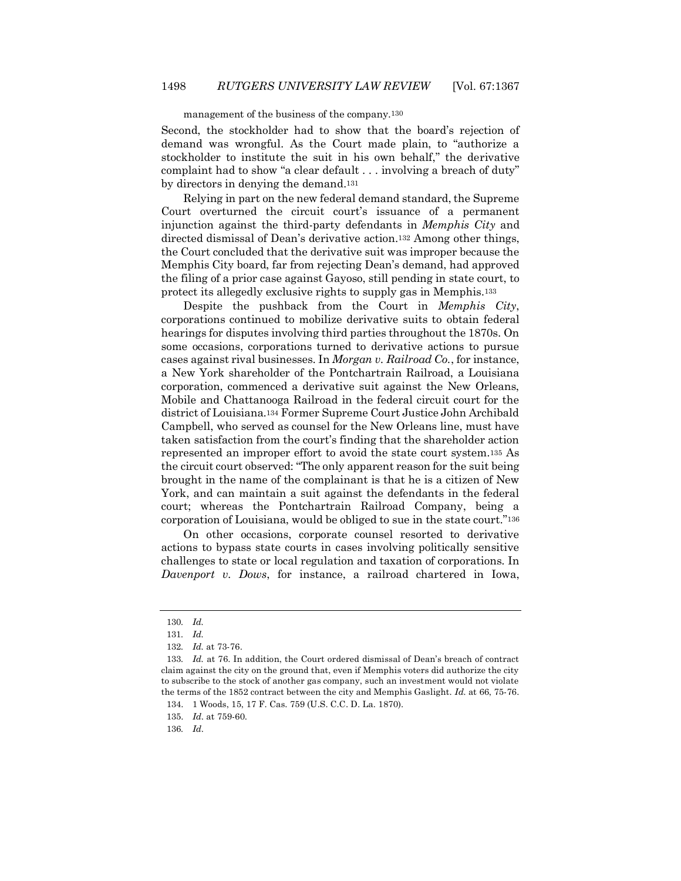#### management of the business of the company.130

Second, the stockholder had to show that the board's rejection of demand was wrongful. As the Court made plain, to "authorize a stockholder to institute the suit in his own behalf," the derivative complaint had to show "a clear default . . . involving a breach of duty" by directors in denying the demand.<sup>131</sup>

Relying in part on the new federal demand standard, the Supreme Court overturned the circuit court's issuance of a permanent injunction against the third-party defendants in *Memphis City* and directed dismissal of Dean's derivative action.<sup>132</sup> Among other things, the Court concluded that the derivative suit was improper because the Memphis City board, far from rejecting Dean's demand, had approved the filing of a prior case against Gayoso, still pending in state court, to protect its allegedly exclusive rights to supply gas in Memphis.<sup>133</sup>

Despite the pushback from the Court in *Memphis City*, corporations continued to mobilize derivative suits to obtain federal hearings for disputes involving third parties throughout the 1870s. On some occasions, corporations turned to derivative actions to pursue cases against rival businesses. In *Morgan v. Railroad Co.*, for instance, a New York shareholder of the Pontchartrain Railroad, a Louisiana corporation, commenced a derivative suit against the New Orleans, Mobile and Chattanooga Railroad in the federal circuit court for the district of Louisiana.<sup>134</sup> Former Supreme Court Justice John Archibald Campbell, who served as counsel for the New Orleans line, must have taken satisfaction from the court's finding that the shareholder action represented an improper effort to avoid the state court system.<sup>135</sup> As the circuit court observed: "The only apparent reason for the suit being brought in the name of the complainant is that he is a citizen of New York, and can maintain a suit against the defendants in the federal court; whereas the Pontchartrain Railroad Company, being a corporation of Louisiana, would be obliged to sue in the state court."<sup>136</sup>

On other occasions, corporate counsel resorted to derivative actions to bypass state courts in cases involving politically sensitive challenges to state or local regulation and taxation of corporations. In *Davenport v. Dows*, for instance, a railroad chartered in Iowa,

<sup>130</sup>*. Id.*

<sup>131</sup>*. Id.* 

<sup>132</sup>*. Id.* at 73-76.

<sup>133</sup>*. Id.* at 76. In addition, the Court ordered dismissal of Dean's breach of contract claim against the city on the ground that, even if Memphis voters did authorize the city to subscribe to the stock of another gas company, such an investment would not violate the terms of the 1852 contract between the city and Memphis Gaslight. *Id.* at 66, 75-76. 134. 1 Woods, 15, 17 F. Cas. 759 (U.S. C.C. D. La. 1870).

<sup>135.</sup> *Id*. at 759-60.

<sup>136</sup>*. Id*.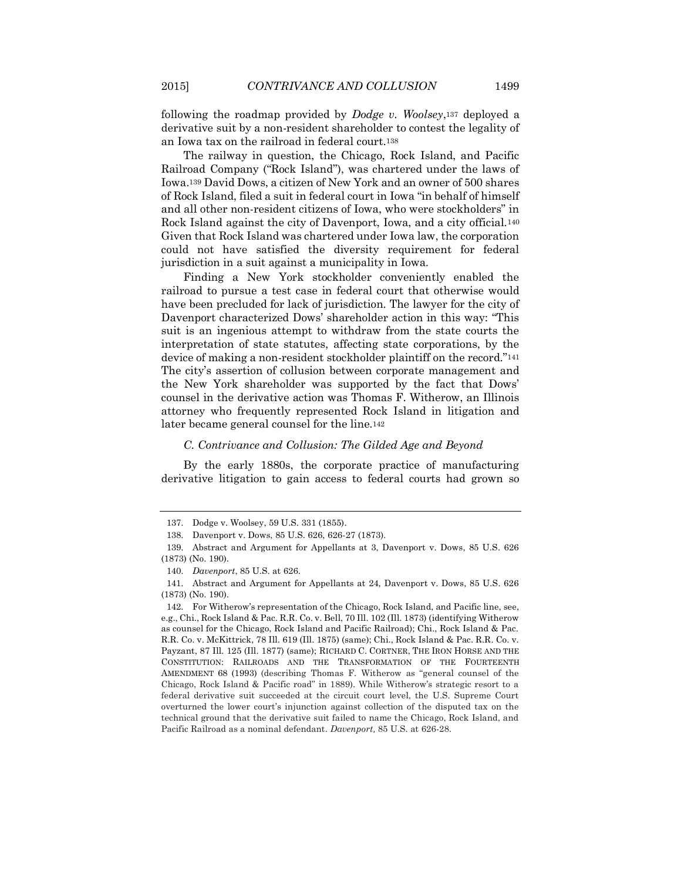following the roadmap provided by *Dodge v. Woolsey*,<sup>137</sup> deployed a derivative suit by a non-resident shareholder to contest the legality of an Iowa tax on the railroad in federal court.<sup>138</sup>

The railway in question, the Chicago, Rock Island, and Pacific Railroad Company ("Rock Island"), was chartered under the laws of Iowa.<sup>139</sup> David Dows, a citizen of New York and an owner of 500 shares of Rock Island, filed a suit in federal court in Iowa "in behalf of himself and all other non-resident citizens of Iowa, who were stockholders" in Rock Island against the city of Davenport, Iowa, and a city official.<sup>140</sup> Given that Rock Island was chartered under Iowa law, the corporation could not have satisfied the diversity requirement for federal jurisdiction in a suit against a municipality in Iowa.

Finding a New York stockholder conveniently enabled the railroad to pursue a test case in federal court that otherwise would have been precluded for lack of jurisdiction. The lawyer for the city of Davenport characterized Dows' shareholder action in this way: "This suit is an ingenious attempt to withdraw from the state courts the interpretation of state statutes, affecting state corporations, by the device of making a non-resident stockholder plaintiff on the record."<sup>141</sup> The city's assertion of collusion between corporate management and the New York shareholder was supported by the fact that Dows' counsel in the derivative action was Thomas F. Witherow, an Illinois attorney who frequently represented Rock Island in litigation and later became general counsel for the line.<sup>142</sup>

#### *C. Contrivance and Collusion: The Gilded Age and Beyond*

By the early 1880s, the corporate practice of manufacturing derivative litigation to gain access to federal courts had grown so

<sup>137.</sup> Dodge v. Woolsey, 59 U.S. 331 (1855).

<sup>138.</sup> Davenport v. Dows, 85 U.S. 626, 626-27 (1873).

<sup>139.</sup> Abstract and Argument for Appellants at 3, Davenport v. Dows, 85 U.S. 626 (1873) (No. 190).

<sup>140.</sup> *Davenport*, 85 U.S. at 626.

<sup>141.</sup> Abstract and Argument for Appellants at 24, Davenport v. Dows, 85 U.S. 626 (1873) (No. 190).

<sup>142.</sup> For Witherow's representation of the Chicago, Rock Island, and Pacific line, see, e.g., Chi., Rock Island & Pac. R.R. Co. v. Bell, 70 Ill. 102 (Ill. 1873) (identifying Witherow as counsel for the Chicago, Rock Island and Pacific Railroad); Chi., Rock Island & Pac. R.R. Co. v. McKittrick, 78 Ill. 619 (Ill. 1875) (same); Chi., Rock Island & Pac. R.R. Co. v. Payzant, 87 Ill. 125 (Ill. 1877) (same); RICHARD C. CORTNER, THE IRON HORSE AND THE CONSTITUTION: RAILROADS AND THE TRANSFORMATION OF THE FOURTEENTH AMENDMENT 68 (1993) (describing Thomas F. Witherow as "general counsel of the Chicago, Rock Island & Pacific road" in 1889). While Witherow's strategic resort to a federal derivative suit succeeded at the circuit court level, the U.S. Supreme Court overturned the lower court's injunction against collection of the disputed tax on the technical ground that the derivative suit failed to name the Chicago, Rock Island, and Pacific Railroad as a nominal defendant. *Davenport,* 85 U.S. at 626-28.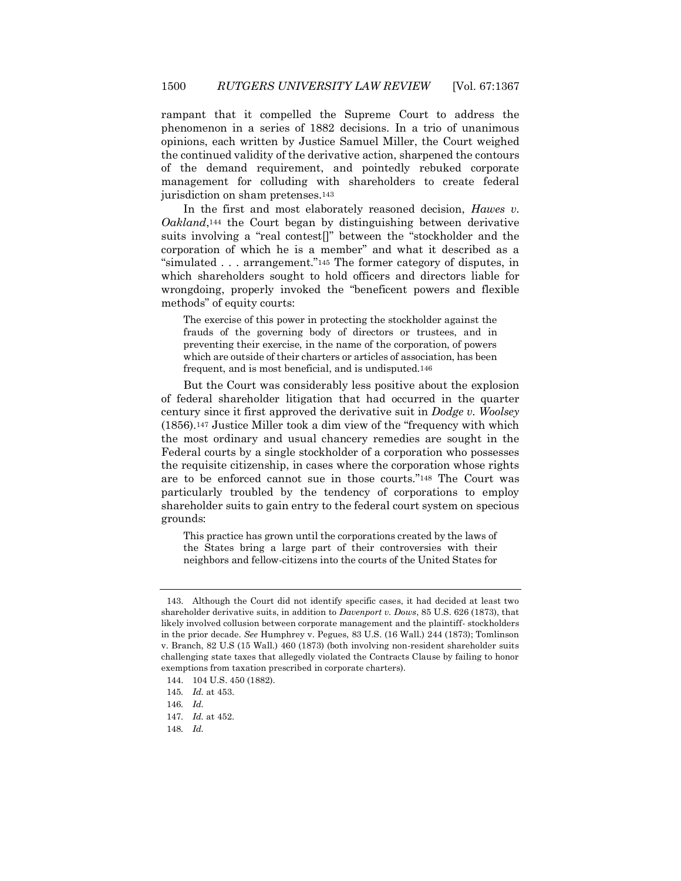rampant that it compelled the Supreme Court to address the phenomenon in a series of 1882 decisions. In a trio of unanimous opinions, each written by Justice Samuel Miller, the Court weighed the continued validity of the derivative action, sharpened the contours of the demand requirement, and pointedly rebuked corporate management for colluding with shareholders to create federal jurisdiction on sham pretenses.<sup>143</sup>

In the first and most elaborately reasoned decision, *Hawes v. Oakland*,<sup>144</sup> the Court began by distinguishing between derivative suits involving a "real contest[]" between the "stockholder and the corporation of which he is a member" and what it described as a "simulated . . . arrangement."<sup>145</sup> The former category of disputes, in which shareholders sought to hold officers and directors liable for wrongdoing, properly invoked the "beneficent powers and flexible methods" of equity courts:

The exercise of this power in protecting the stockholder against the frauds of the governing body of directors or trustees, and in preventing their exercise, in the name of the corporation, of powers which are outside of their charters or articles of association, has been frequent, and is most beneficial, and is undisputed.146

But the Court was considerably less positive about the explosion of federal shareholder litigation that had occurred in the quarter century since it first approved the derivative suit in *Dodge v. Woolsey* (1856).<sup>147</sup> Justice Miller took a dim view of the "frequency with which the most ordinary and usual chancery remedies are sought in the Federal courts by a single stockholder of a corporation who possesses the requisite citizenship, in cases where the corporation whose rights are to be enforced cannot sue in those courts."<sup>148</sup> The Court was particularly troubled by the tendency of corporations to employ shareholder suits to gain entry to the federal court system on specious grounds:

This practice has grown until the corporations created by the laws of the States bring a large part of their controversies with their neighbors and fellow-citizens into the courts of the United States for

<sup>143.</sup> Although the Court did not identify specific cases, it had decided at least two shareholder derivative suits, in addition to *Davenport v. Dows*, 85 U.S. 626 (1873), that likely involved collusion between corporate management and the plaintiff- stockholders in the prior decade. *See* Humphrey v. Pegues, 83 U.S. (16 Wall.) 244 (1873); Tomlinson v. Branch, 82 U.S (15 Wall.) 460 (1873) (both involving non-resident shareholder suits challenging state taxes that allegedly violated the Contracts Clause by failing to honor exemptions from taxation prescribed in corporate charters).

<sup>144.</sup> 104 U.S. 450 (1882).

<sup>145</sup>*. Id.* at 453.

<sup>146</sup>*. Id.*

<sup>147</sup>*. Id.* at 452.

<sup>148</sup>*. Id.*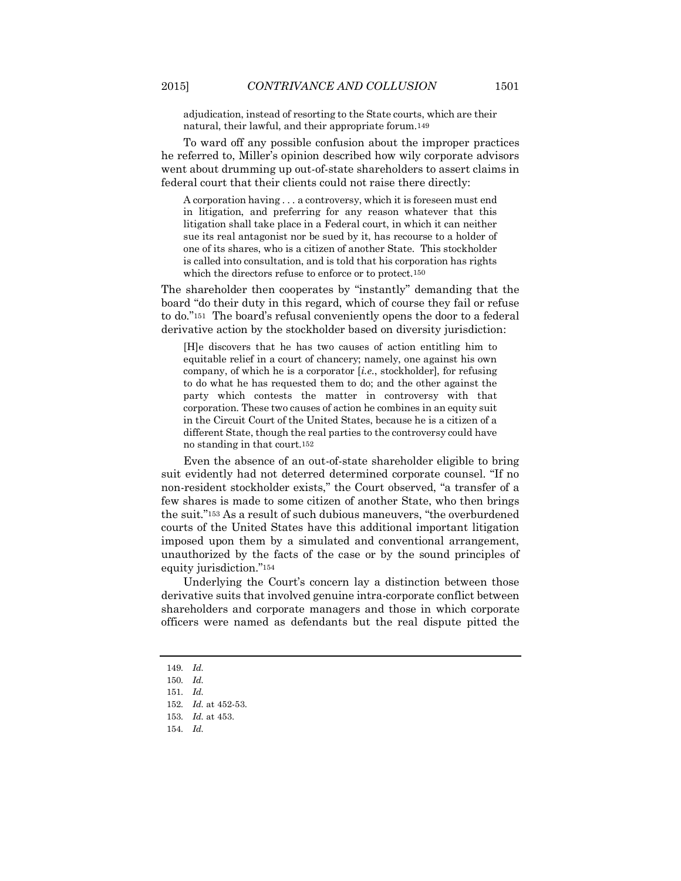adjudication, instead of resorting to the State courts, which are their natural, their lawful, and their appropriate forum.149

To ward off any possible confusion about the improper practices he referred to, Miller's opinion described how wily corporate advisors went about drumming up out-of-state shareholders to assert claims in federal court that their clients could not raise there directly:

A corporation having . . . a controversy, which it is foreseen must end in litigation, and preferring for any reason whatever that this litigation shall take place in a Federal court, in which it can neither sue its real antagonist nor be sued by it, has recourse to a holder of one of its shares, who is a citizen of another State. This stockholder is called into consultation, and is told that his corporation has rights which the directors refuse to enforce or to protect.150

The shareholder then cooperates by "instantly" demanding that the board "do their duty in this regard, which of course they fail or refuse to do."<sup>151</sup> The board's refusal conveniently opens the door to a federal derivative action by the stockholder based on diversity jurisdiction:

[H]e discovers that he has two causes of action entitling him to equitable relief in a court of chancery; namely, one against his own company, of which he is a corporator [*i.e*., stockholder], for refusing to do what he has requested them to do; and the other against the party which contests the matter in controversy with that corporation. These two causes of action he combines in an equity suit in the Circuit Court of the United States, because he is a citizen of a different State, though the real parties to the controversy could have no standing in that court.152

Even the absence of an out-of-state shareholder eligible to bring suit evidently had not deterred determined corporate counsel. "If no non-resident stockholder exists," the Court observed, "a transfer of a few shares is made to some citizen of another State, who then brings the suit."<sup>153</sup> As a result of such dubious maneuvers, "the overburdened courts of the United States have this additional important litigation imposed upon them by a simulated and conventional arrangement, unauthorized by the facts of the case or by the sound principles of equity jurisdiction."<sup>154</sup>

Underlying the Court's concern lay a distinction between those derivative suits that involved genuine intra-corporate conflict between shareholders and corporate managers and those in which corporate officers were named as defendants but the real dispute pitted the

<sup>149</sup>*. Id.*

<sup>150</sup>*. Id.*

<sup>151</sup>*. Id.*

<sup>152</sup>*. Id.* at 452-53.

<sup>153</sup>*. Id.* at 453.

<sup>154</sup>*. Id.*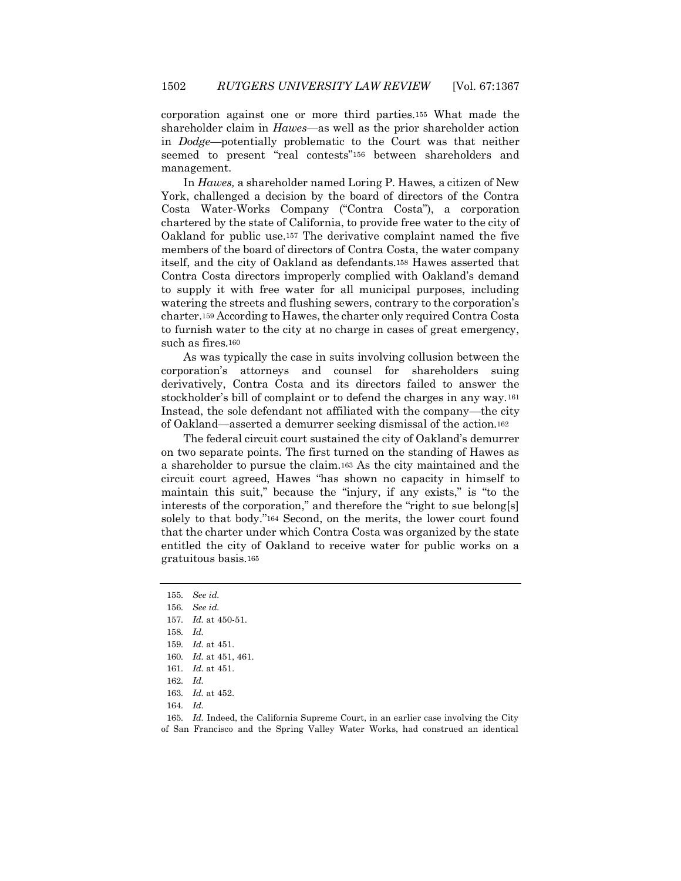corporation against one or more third parties.<sup>155</sup> What made the shareholder claim in *Hawes*—as well as the prior shareholder action in *Dodge*—potentially problematic to the Court was that neither seemed to present "real contests"<sup>156</sup> between shareholders and management.

In *Hawes,* a shareholder named Loring P. Hawes, a citizen of New York, challenged a decision by the board of directors of the Contra Costa Water-Works Company ("Contra Costa"), a corporation chartered by the state of California, to provide free water to the city of Oakland for public use.<sup>157</sup> The derivative complaint named the five members of the board of directors of Contra Costa, the water company itself, and the city of Oakland as defendants.<sup>158</sup> Hawes asserted that Contra Costa directors improperly complied with Oakland's demand to supply it with free water for all municipal purposes, including watering the streets and flushing sewers, contrary to the corporation's charter.<sup>159</sup> According to Hawes, the charter only required Contra Costa to furnish water to the city at no charge in cases of great emergency, such as fires.<sup>160</sup>

As was typically the case in suits involving collusion between the corporation's attorneys and counsel for shareholders suing derivatively, Contra Costa and its directors failed to answer the stockholder's bill of complaint or to defend the charges in any way.<sup>161</sup> Instead, the sole defendant not affiliated with the company—the city of Oakland—asserted a demurrer seeking dismissal of the action.<sup>162</sup>

The federal circuit court sustained the city of Oakland's demurrer on two separate points. The first turned on the standing of Hawes as a shareholder to pursue the claim.<sup>163</sup> As the city maintained and the circuit court agreed, Hawes "has shown no capacity in himself to maintain this suit," because the "injury, if any exists," is "to the interests of the corporation," and therefore the "right to sue belong[s] solely to that body."<sup>164</sup> Second, on the merits, the lower court found that the charter under which Contra Costa was organized by the state entitled the city of Oakland to receive water for public works on a gratuitous basis.<sup>165</sup>

<sup>155</sup>*. See id.*

<sup>156</sup>*. See id.*

<sup>157</sup>*. Id.* at 450-51.

<sup>158</sup>*. Id.*

<sup>159</sup>*. Id.* at 451.

<sup>160</sup>*. Id.* at 451, 461.

<sup>161</sup>*. Id.* at 451.

<sup>162</sup>*. Id.*

<sup>163</sup>*. Id.* at 452.

<sup>164</sup>*. Id.*

<sup>165</sup>*. Id.* Indeed, the California Supreme Court, in an earlier case involving the City of San Francisco and the Spring Valley Water Works, had construed an identical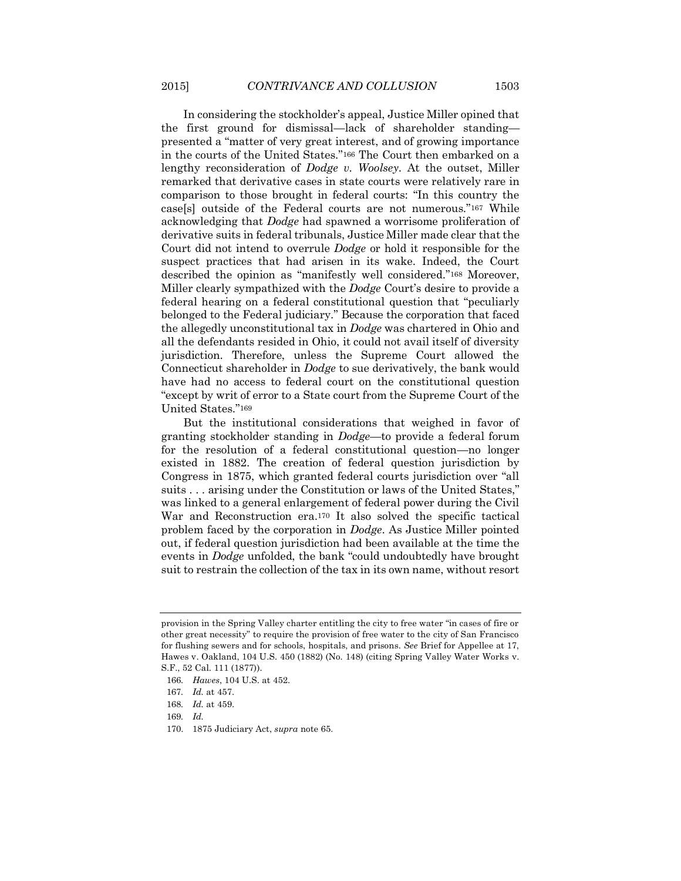In considering the stockholder's appeal, Justice Miller opined that the first ground for dismissal—lack of shareholder standing presented a "matter of very great interest, and of growing importance in the courts of the United States."<sup>166</sup> The Court then embarked on a lengthy reconsideration of *Dodge v. Woolsey*. At the outset, Miller remarked that derivative cases in state courts were relatively rare in comparison to those brought in federal courts: "In this country the case[s] outside of the Federal courts are not numerous."<sup>167</sup> While acknowledging that *Dodge* had spawned a worrisome proliferation of derivative suits in federal tribunals, Justice Miller made clear that the Court did not intend to overrule *Dodge* or hold it responsible for the suspect practices that had arisen in its wake. Indeed, the Court described the opinion as "manifestly well considered."<sup>168</sup> Moreover, Miller clearly sympathized with the *Dodge* Court's desire to provide a federal hearing on a federal constitutional question that "peculiarly belonged to the Federal judiciary." Because the corporation that faced the allegedly unconstitutional tax in *Dodge* was chartered in Ohio and all the defendants resided in Ohio, it could not avail itself of diversity jurisdiction. Therefore, unless the Supreme Court allowed the Connecticut shareholder in *Dodge* to sue derivatively, the bank would have had no access to federal court on the constitutional question "except by writ of error to a State court from the Supreme Court of the United States."<sup>169</sup>

But the institutional considerations that weighed in favor of granting stockholder standing in *Dodge*—to provide a federal forum for the resolution of a federal constitutional question—no longer existed in 1882. The creation of federal question jurisdiction by Congress in 1875, which granted federal courts jurisdiction over "all suits . . . arising under the Constitution or laws of the United States," was linked to a general enlargement of federal power during the Civil War and Reconstruction era.<sup>170</sup> It also solved the specific tactical problem faced by the corporation in *Dodge*. As Justice Miller pointed out, if federal question jurisdiction had been available at the time the events in *Dodge* unfolded, the bank "could undoubtedly have brought suit to restrain the collection of the tax in its own name, without resort

provision in the Spring Valley charter entitling the city to free water "in cases of fire or other great necessity" to require the provision of free water to the city of San Francisco for flushing sewers and for schools, hospitals, and prisons. *See* Brief for Appellee at 17, Hawes v. Oakland, 104 U.S. 450 (1882) (No. 148) (citing Spring Valley Water Works v. S.F., 52 Cal. 111 (1877)).

<sup>166</sup>*. Hawes*, 104 U.S. at 452.

<sup>167</sup>*. Id.* at 457.

<sup>168</sup>*. Id.* at 459.

<sup>169</sup>*. Id.*

<sup>170.</sup> 1875 Judiciary Act, *supra* note 65.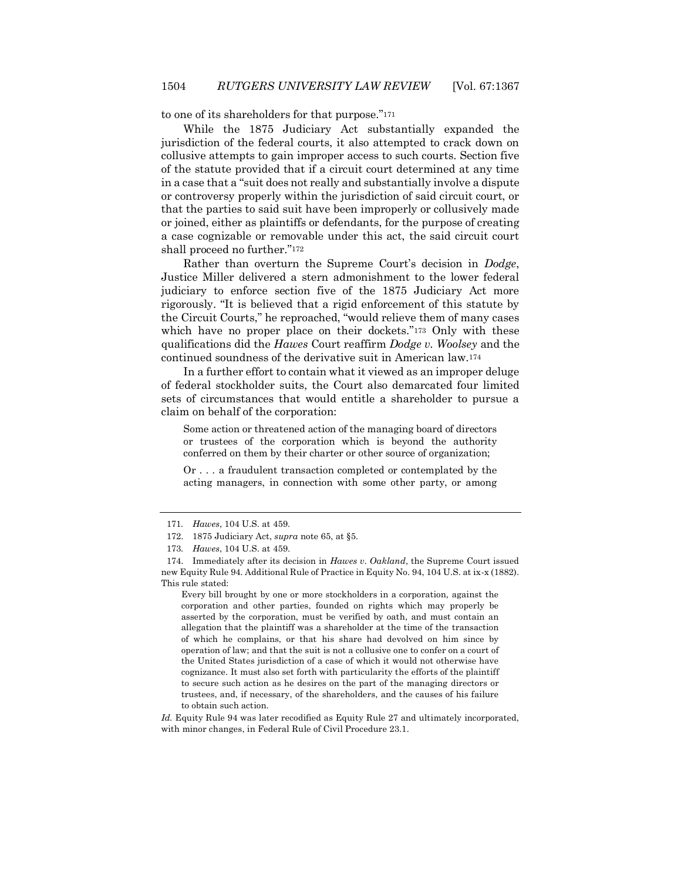to one of its shareholders for that purpose."<sup>171</sup>

While the 1875 Judiciary Act substantially expanded the jurisdiction of the federal courts, it also attempted to crack down on collusive attempts to gain improper access to such courts. Section five of the statute provided that if a circuit court determined at any time in a case that a "suit does not really and substantially involve a dispute or controversy properly within the jurisdiction of said circuit court, or that the parties to said suit have been improperly or collusively made or joined, either as plaintiffs or defendants, for the purpose of creating a case cognizable or removable under this act, the said circuit court shall proceed no further."<sup>172</sup>

Rather than overturn the Supreme Court's decision in *Dodge*, Justice Miller delivered a stern admonishment to the lower federal judiciary to enforce section five of the 1875 Judiciary Act more rigorously. "It is believed that a rigid enforcement of this statute by the Circuit Courts," he reproached, "would relieve them of many cases which have no proper place on their dockets."<sup>173</sup> Only with these qualifications did the *Hawes* Court reaffirm *Dodge v. Woolsey* and the continued soundness of the derivative suit in American law.<sup>174</sup>

In a further effort to contain what it viewed as an improper deluge of federal stockholder suits, the Court also demarcated four limited sets of circumstances that would entitle a shareholder to pursue a claim on behalf of the corporation:

Some action or threatened action of the managing board of directors or trustees of the corporation which is beyond the authority conferred on them by their charter or other source of organization;

Or . . . a fraudulent transaction completed or contemplated by the acting managers, in connection with some other party, or among

Every bill brought by one or more stockholders in a corporation, against the corporation and other parties, founded on rights which may properly be asserted by the corporation, must be verified by oath, and must contain an allegation that the plaintiff was a shareholder at the time of the transaction of which he complains, or that his share had devolved on him since by operation of law; and that the suit is not a collusive one to confer on a court of the United States jurisdiction of a case of which it would not otherwise have cognizance. It must also set forth with particularity the efforts of the plaintiff to secure such action as he desires on the part of the managing directors or trustees, and, if necessary, of the shareholders, and the causes of his failure to obtain such action.

*Id.* Equity Rule 94 was later recodified as Equity Rule 27 and ultimately incorporated, with minor changes, in Federal Rule of Civil Procedure 23.1.

<sup>171</sup>*. Hawes*, 104 U.S. at 459.

<sup>172.</sup> 1875 Judiciary Act, *supra* note 65, at §5.

<sup>173</sup>*. Hawes*, 104 U.S. at 459.

<sup>174.</sup> Immediately after its decision in *Hawes v. Oakland*, the Supreme Court issued new Equity Rule 94. Additional Rule of Practice in Equity No. 94, 104 U.S. at ix-x (1882). This rule stated: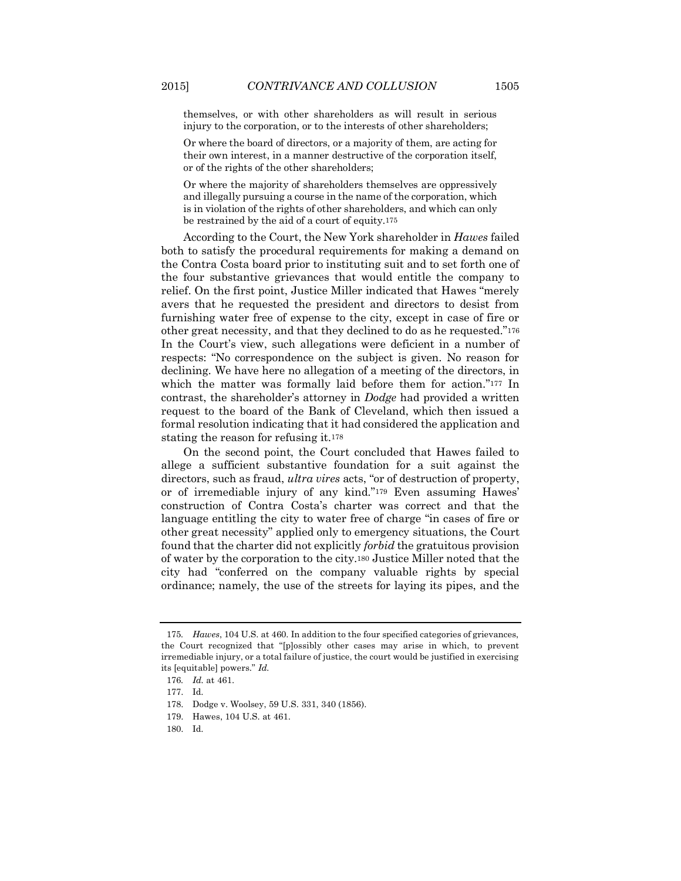themselves, or with other shareholders as will result in serious

Or where the board of directors, or a majority of them, are acting for their own interest, in a manner destructive of the corporation itself, or of the rights of the other shareholders;

injury to the corporation, or to the interests of other shareholders;

Or where the majority of shareholders themselves are oppressively and illegally pursuing a course in the name of the corporation, which is in violation of the rights of other shareholders, and which can only be restrained by the aid of a court of equity.175

According to the Court, the New York shareholder in *Hawes* failed both to satisfy the procedural requirements for making a demand on the Contra Costa board prior to instituting suit and to set forth one of the four substantive grievances that would entitle the company to relief. On the first point, Justice Miller indicated that Hawes "merely avers that he requested the president and directors to desist from furnishing water free of expense to the city, except in case of fire or other great necessity, and that they declined to do as he requested."<sup>176</sup> In the Court's view, such allegations were deficient in a number of respects: "No correspondence on the subject is given. No reason for declining. We have here no allegation of a meeting of the directors, in which the matter was formally laid before them for action."<sup>177</sup> In contrast, the shareholder's attorney in *Dodge* had provided a written request to the board of the Bank of Cleveland, which then issued a formal resolution indicating that it had considered the application and stating the reason for refusing it.<sup>178</sup>

On the second point, the Court concluded that Hawes failed to allege a sufficient substantive foundation for a suit against the directors, such as fraud, *ultra vires* acts, "or of destruction of property, or of irremediable injury of any kind."<sup>179</sup> Even assuming Hawes' construction of Contra Costa's charter was correct and that the language entitling the city to water free of charge "in cases of fire or other great necessity" applied only to emergency situations, the Court found that the charter did not explicitly *forbid* the gratuitous provision of water by the corporation to the city.<sup>180</sup> Justice Miller noted that the city had "conferred on the company valuable rights by special ordinance; namely, the use of the streets for laying its pipes, and the

<sup>175</sup>*. Hawes*, 104 U.S. at 460. In addition to the four specified categories of grievances, the Court recognized that "[p]ossibly other cases may arise in which, to prevent irremediable injury, or a total failure of justice, the court would be justified in exercising its [equitable] powers." *Id.* 

<sup>176</sup>*. Id.* at 461.

<sup>177.</sup> Id.

<sup>178.</sup> Dodge v. Woolsey, 59 U.S. 331, 340 (1856).

<sup>179.</sup> Hawes, 104 U.S. at 461.

<sup>180.</sup> Id.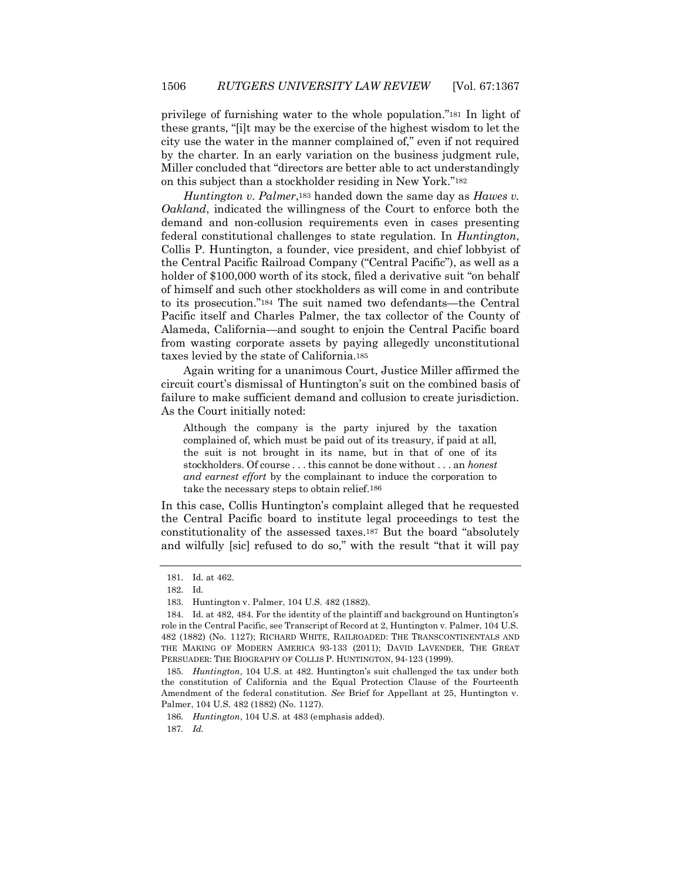privilege of furnishing water to the whole population."<sup>181</sup> In light of these grants, "[i]t may be the exercise of the highest wisdom to let the city use the water in the manner complained of," even if not required by the charter. In an early variation on the business judgment rule, Miller concluded that "directors are better able to act understandingly on this subject than a stockholder residing in New York."<sup>182</sup>

*Huntington v. Palmer*,<sup>183</sup> handed down the same day as *Hawes v. Oakland*, indicated the willingness of the Court to enforce both the demand and non-collusion requirements even in cases presenting federal constitutional challenges to state regulation. In *Huntington*, Collis P. Huntington, a founder, vice president, and chief lobbyist of the Central Pacific Railroad Company ("Central Pacific"), as well as a holder of \$100,000 worth of its stock, filed a derivative suit "on behalf of himself and such other stockholders as will come in and contribute to its prosecution."<sup>184</sup> The suit named two defendants—the Central Pacific itself and Charles Palmer, the tax collector of the County of Alameda, California—and sought to enjoin the Central Pacific board from wasting corporate assets by paying allegedly unconstitutional taxes levied by the state of California.<sup>185</sup>

Again writing for a unanimous Court, Justice Miller affirmed the circuit court's dismissal of Huntington's suit on the combined basis of failure to make sufficient demand and collusion to create jurisdiction. As the Court initially noted:

Although the company is the party injured by the taxation complained of, which must be paid out of its treasury, if paid at all, the suit is not brought in its name, but in that of one of its stockholders. Of course . . . this cannot be done without . . . an *honest and earnest effort* by the complainant to induce the corporation to take the necessary steps to obtain relief.186

In this case, Collis Huntington's complaint alleged that he requested the Central Pacific board to institute legal proceedings to test the constitutionality of the assessed taxes.<sup>187</sup> But the board "absolutely and wilfully [sic] refused to do so," with the result "that it will pay

186*. Huntington*, 104 U.S. at 483 (emphasis added). 187*. Id.*

<sup>181.</sup> Id. at 462.

<sup>182.</sup> Id.

<sup>183.</sup> Huntington v. Palmer, 104 U.S. 482 (1882).

<sup>184.</sup> Id. at 482, 484. For the identity of the plaintiff and background on Huntington's role in the Central Pacific, see Transcript of Record at 2, Huntington v. Palmer, 104 U.S. 482 (1882) (No. 1127); RICHARD WHITE, RAILROADED: THE TRANSCONTINENTALS AND THE MAKING OF MODERN AMERICA 93-133 (2011); DAVID LAVENDER, THE GREAT PERSUADER: THE BIOGRAPHY OF COLLIS P. HUNTINGTON, 94-123 (1999).

<sup>185</sup>*. Huntington*, 104 U.S. at 482. Huntington's suit challenged the tax under both the constitution of California and the Equal Protection Clause of the Fourteenth Amendment of the federal constitution. *See* Brief for Appellant at 25, Huntington v. Palmer, 104 U.S. 482 (1882) (No. 1127).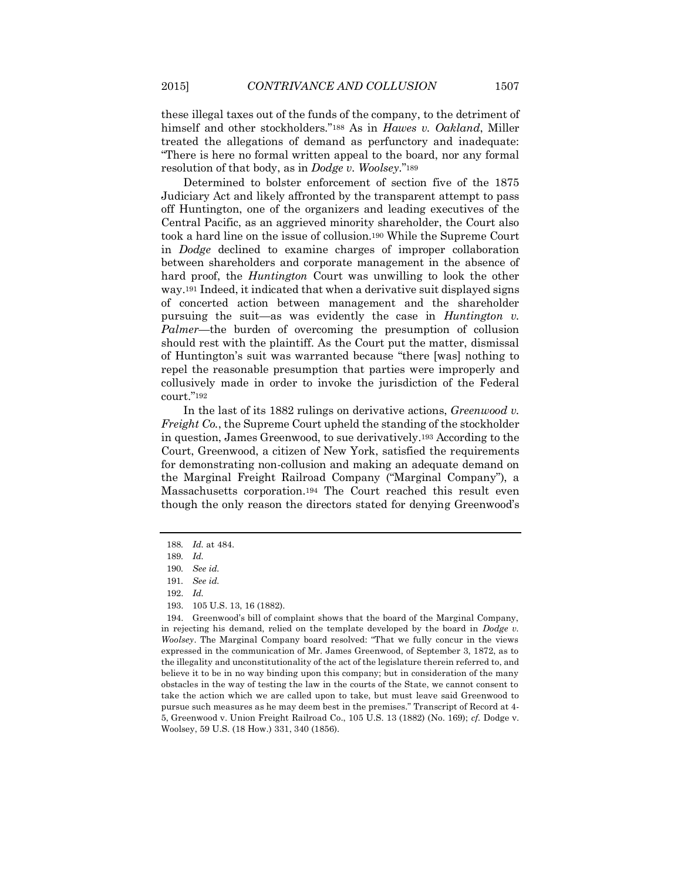these illegal taxes out of the funds of the company, to the detriment of himself and other stockholders."<sup>188</sup> As in *Hawes v. Oakland*, Miller treated the allegations of demand as perfunctory and inadequate: "There is here no formal written appeal to the board, nor any formal resolution of that body, as in *Dodge v. Woolsey*."<sup>189</sup>

Determined to bolster enforcement of section five of the 1875 Judiciary Act and likely affronted by the transparent attempt to pass off Huntington, one of the organizers and leading executives of the Central Pacific, as an aggrieved minority shareholder, the Court also took a hard line on the issue of collusion.<sup>190</sup> While the Supreme Court in *Dodge* declined to examine charges of improper collaboration between shareholders and corporate management in the absence of hard proof, the *Huntington* Court was unwilling to look the other way.<sup>191</sup> Indeed, it indicated that when a derivative suit displayed signs of concerted action between management and the shareholder pursuing the suit—as was evidently the case in *Huntington v. Palmer*—the burden of overcoming the presumption of collusion should rest with the plaintiff. As the Court put the matter, dismissal of Huntington's suit was warranted because "there [was] nothing to repel the reasonable presumption that parties were improperly and collusively made in order to invoke the jurisdiction of the Federal court."<sup>192</sup>

In the last of its 1882 rulings on derivative actions, *Greenwood v. Freight Co.*, the Supreme Court upheld the standing of the stockholder in question, James Greenwood, to sue derivatively.<sup>193</sup> According to the Court, Greenwood, a citizen of New York, satisfied the requirements for demonstrating non-collusion and making an adequate demand on the Marginal Freight Railroad Company ("Marginal Company"), a Massachusetts corporation.<sup>194</sup> The Court reached this result even though the only reason the directors stated for denying Greenwood's

<sup>188</sup>*. Id.* at 484.

<sup>189</sup>*. Id.*

<sup>190</sup>*. See id.*

<sup>191</sup>*. See id.*

<sup>192.</sup> *Id.*

<sup>193.</sup> 105 U.S. 13, 16 (1882).

<sup>194.</sup> Greenwood's bill of complaint shows that the board of the Marginal Company, in rejecting his demand, relied on the template developed by the board in *Dodge v. Woolsey*. The Marginal Company board resolved: "That we fully concur in the views expressed in the communication of Mr. James Greenwood, of September 3, 1872, as to the illegality and unconstitutionality of the act of the legislature therein referred to, and believe it to be in no way binding upon this company; but in consideration of the many obstacles in the way of testing the law in the courts of the State, we cannot consent to take the action which we are called upon to take, but must leave said Greenwood to pursue such measures as he may deem best in the premises." Transcript of Record at 4- 5, Greenwood v. Union Freight Railroad Co., 105 U.S. 13 (1882) (No. 169); *cf.* Dodge v. Woolsey, 59 U.S. (18 How.) 331, 340 (1856).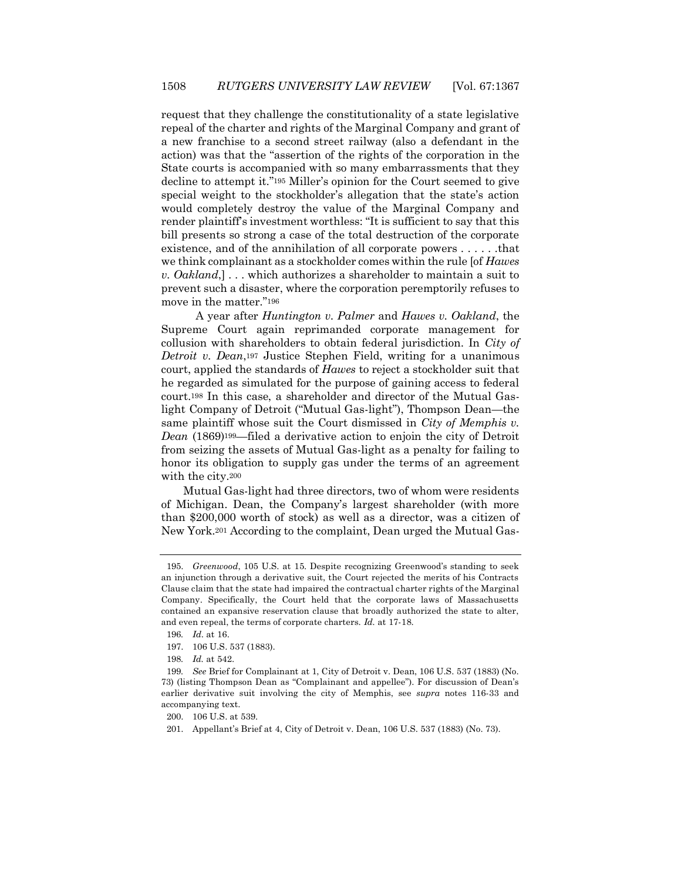request that they challenge the constitutionality of a state legislative repeal of the charter and rights of the Marginal Company and grant of a new franchise to a second street railway (also a defendant in the action) was that the "assertion of the rights of the corporation in the State courts is accompanied with so many embarrassments that they decline to attempt it."<sup>195</sup> Miller's opinion for the Court seemed to give special weight to the stockholder's allegation that the state's action would completely destroy the value of the Marginal Company and render plaintiff's investment worthless: "It is sufficient to say that this bill presents so strong a case of the total destruction of the corporate existence, and of the annihilation of all corporate powers . . . . . .that we think complainant as a stockholder comes within the rule [of *Hawes v. Oakland*,] . . . which authorizes a shareholder to maintain a suit to prevent such a disaster, where the corporation peremptorily refuses to move in the matter."<sup>196</sup>

A year after *Huntington v. Palmer* and *Hawes v. Oakland*, the Supreme Court again reprimanded corporate management for collusion with shareholders to obtain federal jurisdiction. In *City of Detroit v. Dean*,<sup>197</sup> Justice Stephen Field, writing for a unanimous court, applied the standards of *Hawes* to reject a stockholder suit that he regarded as simulated for the purpose of gaining access to federal court.<sup>198</sup> In this case, a shareholder and director of the Mutual Gaslight Company of Detroit ("Mutual Gas-light"), Thompson Dean—the same plaintiff whose suit the Court dismissed in *City of Memphis v. Dean* (1869)199—filed a derivative action to enjoin the city of Detroit from seizing the assets of Mutual Gas-light as a penalty for failing to honor its obligation to supply gas under the terms of an agreement with the city.<sup>200</sup>

Mutual Gas-light had three directors, two of whom were residents of Michigan. Dean, the Company's largest shareholder (with more than \$200,000 worth of stock) as well as a director, was a citizen of New York.<sup>201</sup> According to the complaint, Dean urged the Mutual Gas-

<sup>195.</sup> *Greenwood*, 105 U.S. at 15. Despite recognizing Greenwood's standing to seek an injunction through a derivative suit, the Court rejected the merits of his Contracts Clause claim that the state had impaired the contractual charter rights of the Marginal Company. Specifically, the Court held that the corporate laws of Massachusetts contained an expansive reservation clause that broadly authorized the state to alter, and even repeal, the terms of corporate charters. *Id.* at 17-18.

<sup>196</sup>*. Id*. at 16.

<sup>197.</sup> 106 U.S. 537 (1883).

<sup>198</sup>*. Id.* at 542.

<sup>199</sup>*. See* Brief for Complainant at 1, City of Detroit v. Dean, 106 U.S. 537 (1883) (No. 73) (listing Thompson Dean as "Complainant and appellee"). For discussion of Dean's earlier derivative suit involving the city of Memphis, see *supra* notes 116-33 and accompanying text.

<sup>200.</sup> 106 U.S. at 539.

<sup>201.</sup> Appellant's Brief at 4, City of Detroit v. Dean, 106 U.S. 537 (1883) (No. 73).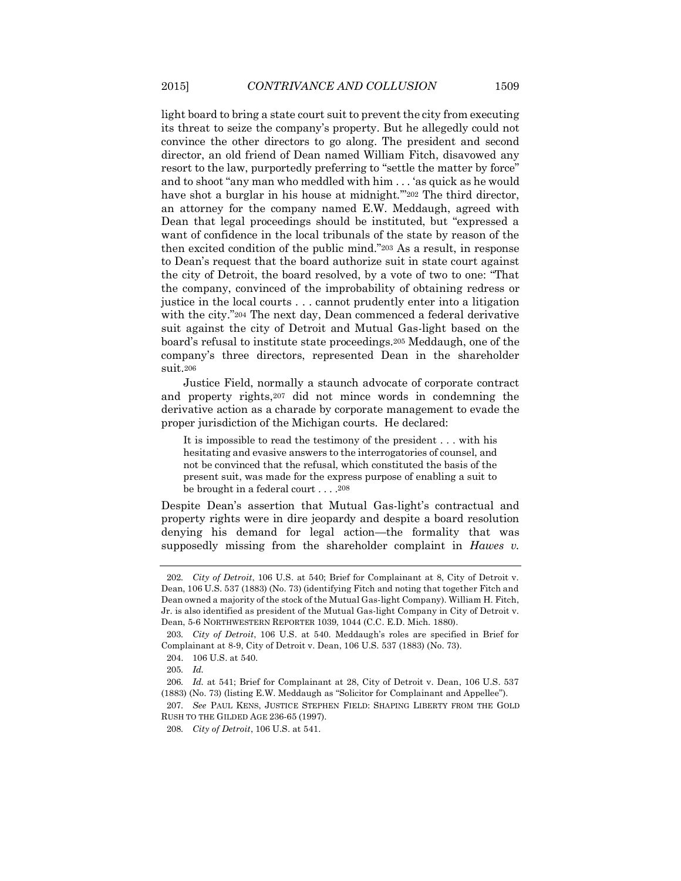light board to bring a state court suit to prevent the city from executing its threat to seize the company's property. But he allegedly could not convince the other directors to go along. The president and second director, an old friend of Dean named William Fitch, disavowed any resort to the law, purportedly preferring to "settle the matter by force" and to shoot "any man who meddled with him . . . 'as quick as he would have shot a burglar in his house at midnight."202 The third director, an attorney for the company named E.W. Meddaugh, agreed with Dean that legal proceedings should be instituted, but "expressed a want of confidence in the local tribunals of the state by reason of the then excited condition of the public mind."<sup>203</sup> As a result, in response to Dean's request that the board authorize suit in state court against the city of Detroit, the board resolved, by a vote of two to one: "That the company, convinced of the improbability of obtaining redress or justice in the local courts . . . cannot prudently enter into a litigation with the city."204 The next day, Dean commenced a federal derivative suit against the city of Detroit and Mutual Gas-light based on the board's refusal to institute state proceedings.<sup>205</sup> Meddaugh, one of the company's three directors, represented Dean in the shareholder suit.<sup>206</sup>

Justice Field, normally a staunch advocate of corporate contract and property rights,<sup>207</sup> did not mince words in condemning the derivative action as a charade by corporate management to evade the proper jurisdiction of the Michigan courts. He declared:

It is impossible to read the testimony of the president . . . with his hesitating and evasive answers to the interrogatories of counsel, and not be convinced that the refusal, which constituted the basis of the present suit, was made for the express purpose of enabling a suit to be brought in a federal court . . . .208

Despite Dean's assertion that Mutual Gas-light's contractual and property rights were in dire jeopardy and despite a board resolution denying his demand for legal action—the formality that was supposedly missing from the shareholder complaint in *Hawes v.* 

<sup>202</sup>*. City of Detroit*, 106 U.S. at 540; Brief for Complainant at 8, City of Detroit v. Dean, 106 U.S. 537 (1883) (No. 73) (identifying Fitch and noting that together Fitch and Dean owned a majority of the stock of the Mutual Gas-light Company). William H. Fitch, Jr. is also identified as president of the Mutual Gas-light Company in City of Detroit v. Dean, 5-6 NORTHWESTERN REPORTER 1039, 1044 (C.C. E.D. Mich. 1880).

<sup>203</sup>*. City of Detroit*, 106 U.S. at 540. Meddaugh's roles are specified in Brief for Complainant at 8-9, City of Detroit v. Dean, 106 U.S. 537 (1883) (No. 73).

<sup>204.</sup> 106 U.S. at 540.

<sup>205</sup>*. Id.*

<sup>206</sup>*. Id.* at 541; Brief for Complainant at 28, City of Detroit v. Dean, 106 U.S. 537 (1883) (No. 73) (listing E.W. Meddaugh as "Solicitor for Complainant and Appellee").

<sup>207</sup>*. See* PAUL KENS, JUSTICE STEPHEN FIELD: SHAPING LIBERTY FROM THE GOLD RUSH TO THE GILDED AGE 236-65 (1997).

<sup>208</sup>*. City of Detroit*, 106 U.S. at 541.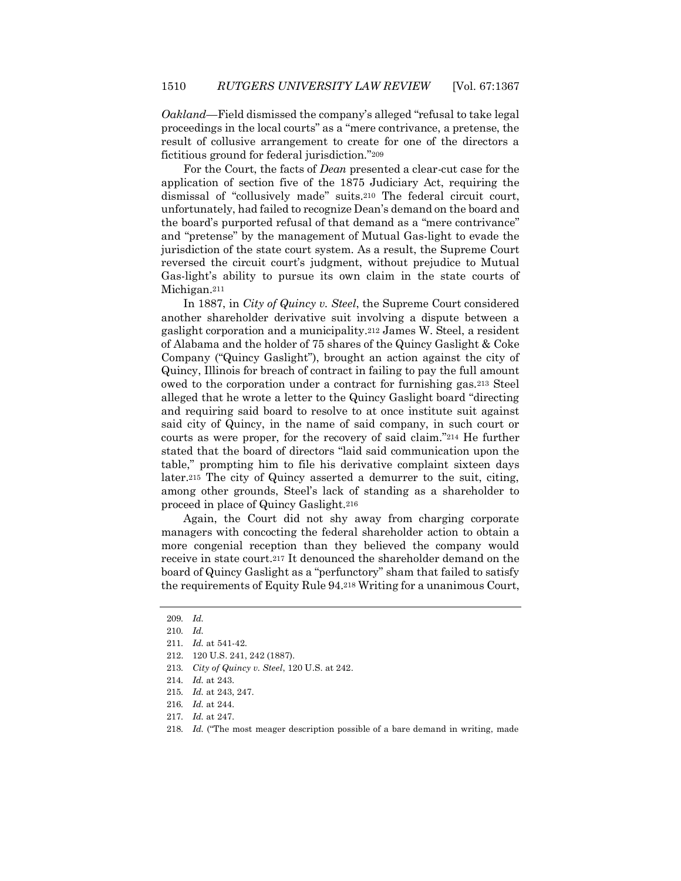*Oakland*—Field dismissed the company's alleged "refusal to take legal proceedings in the local courts" as a "mere contrivance, a pretense, the result of collusive arrangement to create for one of the directors a fictitious ground for federal jurisdiction."<sup>209</sup>

For the Court, the facts of *Dean* presented a clear-cut case for the application of section five of the 1875 Judiciary Act, requiring the dismissal of "collusively made" suits.<sup>210</sup> The federal circuit court, unfortunately, had failed to recognize Dean's demand on the board and the board's purported refusal of that demand as a "mere contrivance" and "pretense" by the management of Mutual Gas-light to evade the jurisdiction of the state court system. As a result, the Supreme Court reversed the circuit court's judgment, without prejudice to Mutual Gas-light's ability to pursue its own claim in the state courts of Michigan.<sup>211</sup>

In 1887, in *City of Quincy v. Steel*, the Supreme Court considered another shareholder derivative suit involving a dispute between a gaslight corporation and a municipality.<sup>212</sup> James W. Steel, a resident of Alabama and the holder of 75 shares of the Quincy Gaslight & Coke Company ("Quincy Gaslight"), brought an action against the city of Quincy, Illinois for breach of contract in failing to pay the full amount owed to the corporation under a contract for furnishing gas.<sup>213</sup> Steel alleged that he wrote a letter to the Quincy Gaslight board "directing and requiring said board to resolve to at once institute suit against said city of Quincy, in the name of said company, in such court or courts as were proper, for the recovery of said claim."<sup>214</sup> He further stated that the board of directors "laid said communication upon the table," prompting him to file his derivative complaint sixteen days later.<sup>215</sup> The city of Quincy asserted a demurrer to the suit, citing, among other grounds, Steel's lack of standing as a shareholder to proceed in place of Quincy Gaslight.<sup>216</sup>

Again, the Court did not shy away from charging corporate managers with concocting the federal shareholder action to obtain a more congenial reception than they believed the company would receive in state court.<sup>217</sup> It denounced the shareholder demand on the board of Quincy Gaslight as a "perfunctory" sham that failed to satisfy the requirements of Equity Rule 94.<sup>218</sup> Writing for a unanimous Court,

<sup>209</sup>*. Id.* 

<sup>210</sup>*. Id.*

<sup>211</sup>*. Id.* at 541-42.

<sup>212.</sup> 120 U.S. 241, 242 (1887).

<sup>213</sup>*. City of Quincy v. Steel*, 120 U.S. at 242.

<sup>214</sup>*. Id.* at 243.

<sup>215</sup>*. Id.* at 243, 247.

<sup>216</sup>*. Id.* at 244.

<sup>217</sup>*. Id.* at 247.

<sup>218</sup>*. Id.* ("The most meager description possible of a bare demand in writing, made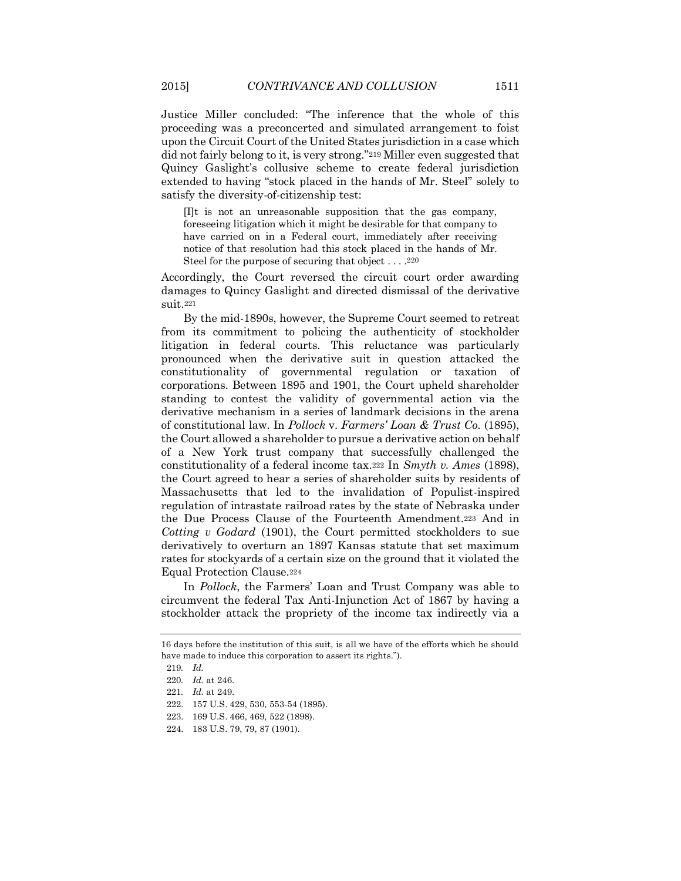Justice Miller concluded: "The inference that the whole of this proceeding was a preconcerted and simulated arrangement to foist upon the Circuit Court of the United States jurisdiction in a case which did not fairly belong to it, is very strong."<sup>219</sup> Miller even suggested that Quincy Gaslight's collusive scheme to create federal jurisdiction extended to having "stock placed in the hands of Mr. Steel" solely to satisfy the diversity-of-citizenship test:

[I]t is not an unreasonable supposition that the gas company, foreseeing litigation which it might be desirable for that company to have carried on in a Federal court, immediately after receiving notice of that resolution had this stock placed in the hands of Mr. Steel for the purpose of securing that object . . . .220

Accordingly, the Court reversed the circuit court order awarding damages to Quincy Gaslight and directed dismissal of the derivative suit.<sup>221</sup>

By the mid-1890s, however, the Supreme Court seemed to retreat from its commitment to policing the authenticity of stockholder litigation in federal courts. This reluctance was particularly pronounced when the derivative suit in question attacked the constitutionality of governmental regulation or taxation of corporations. Between 1895 and 1901, the Court upheld shareholder standing to contest the validity of governmental action via the derivative mechanism in a series of landmark decisions in the arena of constitutional law. In *Pollock* v. *Farmers' Loan & Trust Co.* (1895), the Court allowed a shareholder to pursue a derivative action on behalf of a New York trust company that successfully challenged the constitutionality of a federal income tax.<sup>222</sup> In *Smyth v. Ames* (1898), the Court agreed to hear a series of shareholder suits by residents of Massachusetts that led to the invalidation of Populist-inspired regulation of intrastate railroad rates by the state of Nebraska under the Due Process Clause of the Fourteenth Amendment.<sup>223</sup> And in *Cotting v Godard* (1901), the Court permitted stockholders to sue derivatively to overturn an 1897 Kansas statute that set maximum rates for stockyards of a certain size on the ground that it violated the Equal Protection Clause.<sup>224</sup>

In *Pollock*, the Farmers' Loan and Trust Company was able to circumvent the federal Tax Anti-Injunction Act of 1867 by having a stockholder attack the propriety of the income tax indirectly via a

<sup>16</sup> days before the institution of this suit, is all we have of the efforts which he should have made to induce this corporation to assert its rights.").

<sup>219</sup>*. Id.*

<sup>220</sup>*. Id.* at 246.

<sup>221</sup>*. Id.* at 249.

<sup>222.</sup> 157 U.S. 429, 530, 553-54 (1895).

<sup>223.</sup> 169 U.S. 466, 469, 522 (1898).

<sup>224.</sup> 183 U.S. 79, 79, 87 (1901).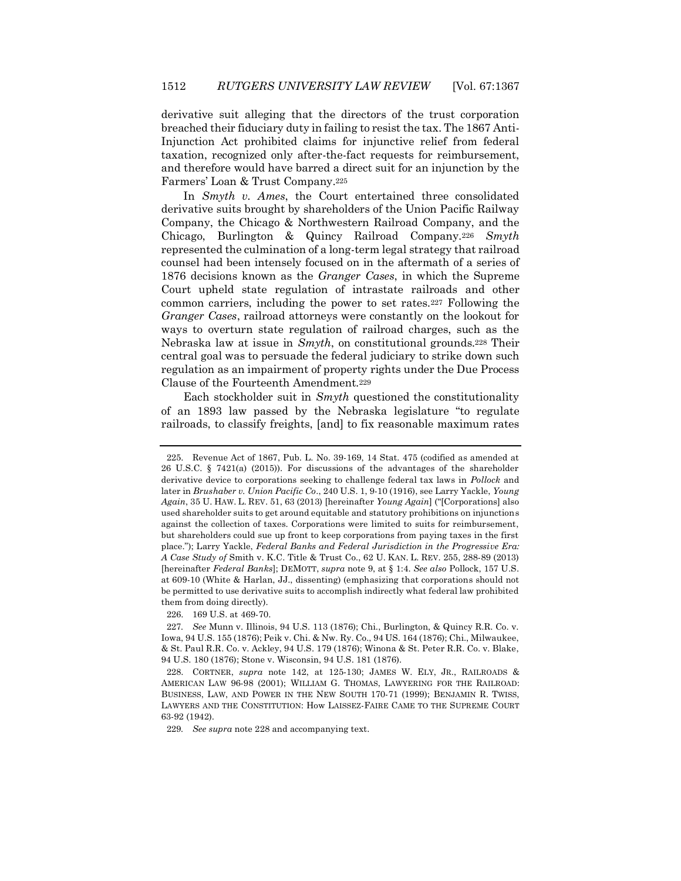derivative suit alleging that the directors of the trust corporation breached their fiduciary duty in failing to resist the tax. The 1867 Anti-Injunction Act prohibited claims for injunctive relief from federal taxation, recognized only after-the-fact requests for reimbursement, and therefore would have barred a direct suit for an injunction by the Farmers' Loan & Trust Company.<sup>225</sup>

In *Smyth v. Ames*, the Court entertained three consolidated derivative suits brought by shareholders of the Union Pacific Railway Company, the Chicago & Northwestern Railroad Company, and the Chicago, Burlington & Quincy Railroad Company.<sup>226</sup> *Smyth* represented the culmination of a long-term legal strategy that railroad counsel had been intensely focused on in the aftermath of a series of 1876 decisions known as the *Granger Cases*, in which the Supreme Court upheld state regulation of intrastate railroads and other common carriers, including the power to set rates.<sup>227</sup> Following the *Granger Cases*, railroad attorneys were constantly on the lookout for ways to overturn state regulation of railroad charges, such as the Nebraska law at issue in *Smyth*, on constitutional grounds.<sup>228</sup> Their central goal was to persuade the federal judiciary to strike down such regulation as an impairment of property rights under the Due Process Clause of the Fourteenth Amendment.<sup>229</sup>

Each stockholder suit in *Smyth* questioned the constitutionality of an 1893 law passed by the Nebraska legislature "to regulate railroads, to classify freights, [and] to fix reasonable maximum rates

226. 169 U.S. at 469-70.

<sup>225.</sup> Revenue Act of 1867, Pub. L. No. 39-169, 14 Stat. 475 (codified as amended at 26 U.S.C. § 7421(a) (2015)). For discussions of the advantages of the shareholder derivative device to corporations seeking to challenge federal tax laws in *Pollock* and later in *Brushaber v. Union Pacific Co*., 240 U.S. 1, 9-10 (1916), see Larry Yackle, *Young Again*, 35 U. HAW. L. REV. 51, 63 (2013) [hereinafter *Young Again*] ("[Corporations] also used shareholder suits to get around equitable and statutory prohibitions on injunctions against the collection of taxes. Corporations were limited to suits for reimbursement, but shareholders could sue up front to keep corporations from paying taxes in the first place."); Larry Yackle, *Federal Banks and Federal Jurisdiction in the Progressive Era: A Case Study of* Smith v. K.C. Title & Trust Co., 62 U. KAN. L. REV. 255, 288-89 (2013) [hereinafter *Federal Banks*]; DEMOTT, *supra* note 9, at § 1:4. *See also* Pollock, 157 U.S. at 609-10 (White & Harlan, JJ., dissenting) (emphasizing that corporations should not be permitted to use derivative suits to accomplish indirectly what federal law prohibited them from doing directly).

<sup>227</sup>*. See* Munn v. Illinois, 94 U.S. 113 (1876); Chi., Burlington, & Quincy R.R. Co. v. Iowa, 94 U.S. 155 (1876); Peik v. Chi. & Nw. Ry. Co., 94 US. 164 (1876); Chi., Milwaukee, & St. Paul R.R. Co. v. Ackley, 94 U.S. 179 (1876); Winona & St. Peter R.R. Co. v. Blake, 94 U.S. 180 (1876); Stone v. Wisconsin, 94 U.S. 181 (1876).

<sup>228.</sup> CORTNER, *supra* note 142, at 125-130; JAMES W. ELY, JR., RAILROADS & AMERICAN LAW 96-98 (2001); WILLIAM G. THOMAS, LAWYERING FOR THE RAILROAD: BUSINESS, LAW, AND POWER IN THE NEW SOUTH 170-71 (1999); BENJAMIN R. TWISS, LAWYERS AND THE CONSTITUTION: How LAISSEZ-FAIRE CAME TO THE SUPREME COURT 63-92 (1942).

<sup>229</sup>*. See supra* note 228 and accompanying text.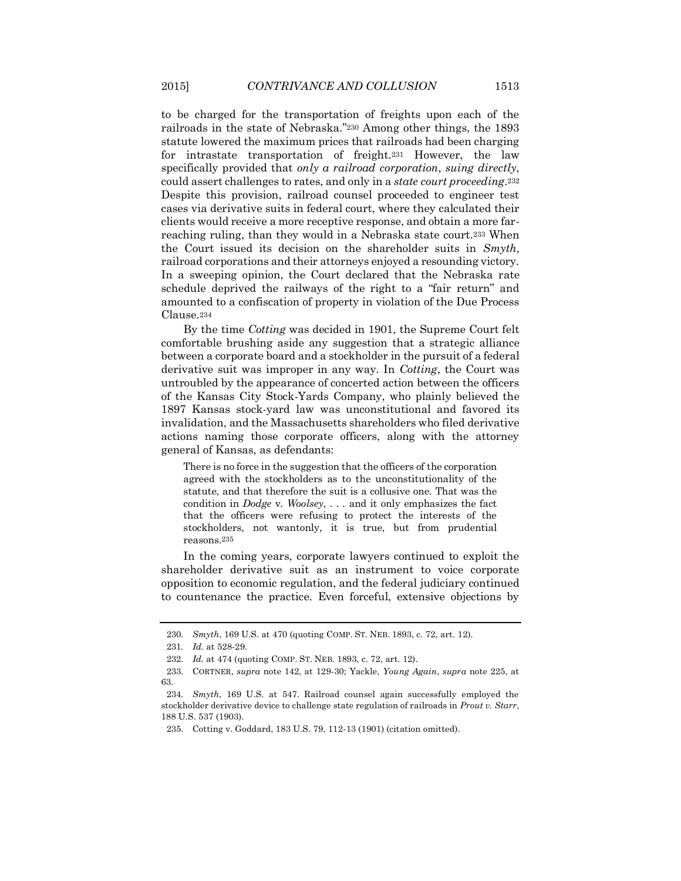to be charged for the transportation of freights upon each of the railroads in the state of Nebraska."<sup>230</sup> Among other things, the 1893 statute lowered the maximum prices that railroads had been charging for intrastate transportation of freight.<sup>231</sup> However, the law specifically provided that *only a railroad corporation*, *suing directly*, could assert challenges to rates, and only in a *state court proceeding*.<sup>232</sup> Despite this provision, railroad counsel proceeded to engineer test cases via derivative suits in federal court, where they calculated their clients would receive a more receptive response, and obtain a more farreaching ruling, than they would in a Nebraska state court.<sup>233</sup> When the Court issued its decision on the shareholder suits in *Smyth*, railroad corporations and their attorneys enjoyed a resounding victory. In a sweeping opinion, the Court declared that the Nebraska rate schedule deprived the railways of the right to a "fair return" and amounted to a confiscation of property in violation of the Due Process Clause.<sup>234</sup>

By the time *Cotting* was decided in 1901, the Supreme Court felt comfortable brushing aside any suggestion that a strategic alliance between a corporate board and a stockholder in the pursuit of a federal derivative suit was improper in any way. In *Cotting*, the Court was untroubled by the appearance of concerted action between the officers of the Kansas City Stock-Yards Company, who plainly believed the 1897 Kansas stock-yard law was unconstitutional and favored its invalidation, and the Massachusetts shareholders who filed derivative actions naming those corporate officers, along with the attorney general of Kansas, as defendants:

There is no force in the suggestion that the officers of the corporation agreed with the stockholders as to the unconstitutionality of the statute, and that therefore the suit is a collusive one. That was the condition in *Dodge* v. *Woolsey*, . . . and it only emphasizes the fact that the officers were refusing to protect the interests of the stockholders, not wantonly, it is true, but from prudential reasons.235

In the coming years, corporate lawyers continued to exploit the shareholder derivative suit as an instrument to voice corporate opposition to economic regulation, and the federal judiciary continued to countenance the practice. Even forceful, extensive objections by

<sup>230</sup>*. Smyth*, 169 U.S. at 470 (quoting COMP. ST. NEB. 1893, c. 72, art. 12).

<sup>231</sup>*. Id.* at 528-29.

<sup>232</sup>*. Id.* at 474 (quoting COMP. ST. NEB. 1893, c. 72, art. 12).

<sup>233.</sup> CORTNER, *supra* note 142, at 129-30; Yackle, *Young Again*, *supra* note 225, at 63.

<sup>234</sup>*. Smyth*, 169 U.S. at 547. Railroad counsel again successfully employed the stockholder derivative device to challenge state regulation of railroads in *Prout v. Starr*, 188 U.S. 537 (1903).

<sup>235.</sup> Cotting v. Goddard, 183 U.S. 79, 112-13 (1901) (citation omitted).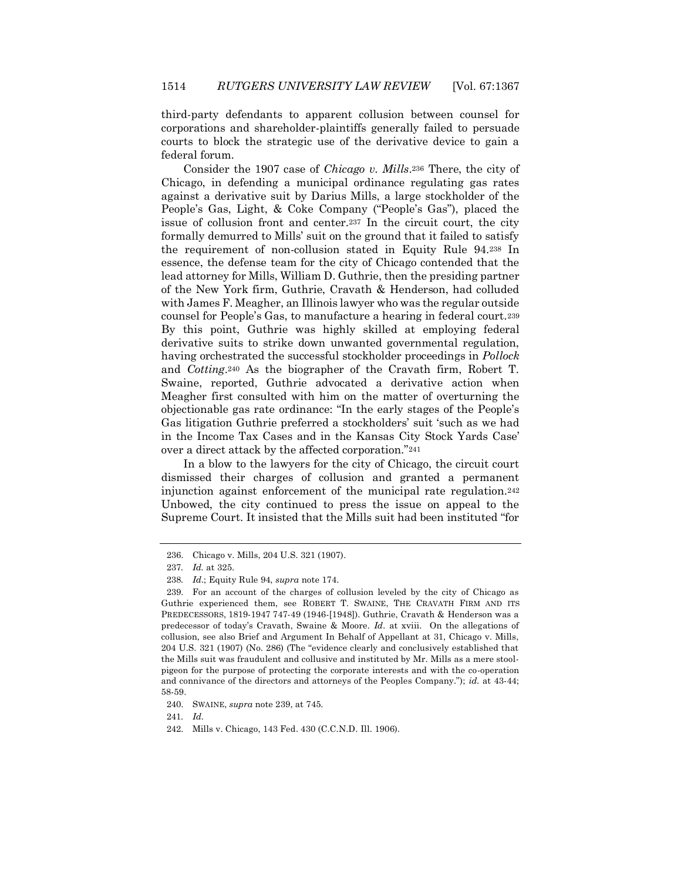third-party defendants to apparent collusion between counsel for corporations and shareholder-plaintiffs generally failed to persuade courts to block the strategic use of the derivative device to gain a federal forum.

Consider the 1907 case of *Chicago v. Mills*.<sup>236</sup> There, the city of Chicago, in defending a municipal ordinance regulating gas rates against a derivative suit by Darius Mills, a large stockholder of the People's Gas, Light, & Coke Company ("People's Gas"), placed the issue of collusion front and center.<sup>237</sup> In the circuit court, the city formally demurred to Mills' suit on the ground that it failed to satisfy the requirement of non-collusion stated in Equity Rule 94.<sup>238</sup> In essence, the defense team for the city of Chicago contended that the lead attorney for Mills, William D. Guthrie, then the presiding partner of the New York firm, Guthrie, Cravath & Henderson, had colluded with James F. Meagher, an Illinois lawyer who was the regular outside counsel for People's Gas, to manufacture a hearing in federal court.<sup>239</sup> By this point, Guthrie was highly skilled at employing federal derivative suits to strike down unwanted governmental regulation, having orchestrated the successful stockholder proceedings in *Pollock* and *Cotting*.<sup>240</sup> As the biographer of the Cravath firm, Robert T. Swaine, reported, Guthrie advocated a derivative action when Meagher first consulted with him on the matter of overturning the objectionable gas rate ordinance: "In the early stages of the People's Gas litigation Guthrie preferred a stockholders' suit 'such as we had in the Income Tax Cases and in the Kansas City Stock Yards Case' over a direct attack by the affected corporation."<sup>241</sup>

In a blow to the lawyers for the city of Chicago, the circuit court dismissed their charges of collusion and granted a permanent injunction against enforcement of the municipal rate regulation.<sup>242</sup> Unbowed, the city continued to press the issue on appeal to the Supreme Court. It insisted that the Mills suit had been instituted "for

241*. Id*.

<sup>236.</sup> Chicago v. Mills, 204 U.S. 321 (1907).

<sup>237</sup>*. Id.* at 325.

<sup>238</sup>*. Id*.; Equity Rule 94, *supra* note 174.

<sup>239.</sup> For an account of the charges of collusion leveled by the city of Chicago as Guthrie experienced them, see ROBERT T. SWAINE, THE CRAVATH FIRM AND ITS PREDECESSORS, 1819-1947 747-49 (1946-[1948]). Guthrie, Cravath & Henderson was a predecessor of today's Cravath, Swaine & Moore. *Id.* at xviii. On the allegations of collusion, see also Brief and Argument In Behalf of Appellant at 31, Chicago v. Mills, 204 U.S. 321 (1907) (No. 286) (The "evidence clearly and conclusively established that the Mills suit was fraudulent and collusive and instituted by Mr. Mills as a mere stoolpigeon for the purpose of protecting the corporate interests and with the co-operation and connivance of the directors and attorneys of the Peoples Company."); *id.* at 43-44; 58-59.

<sup>240.</sup> SWAINE, *supra* note 239, at 745.

<sup>242.</sup> Mills v. Chicago, 143 Fed. 430 (C.C.N.D. Ill. 1906).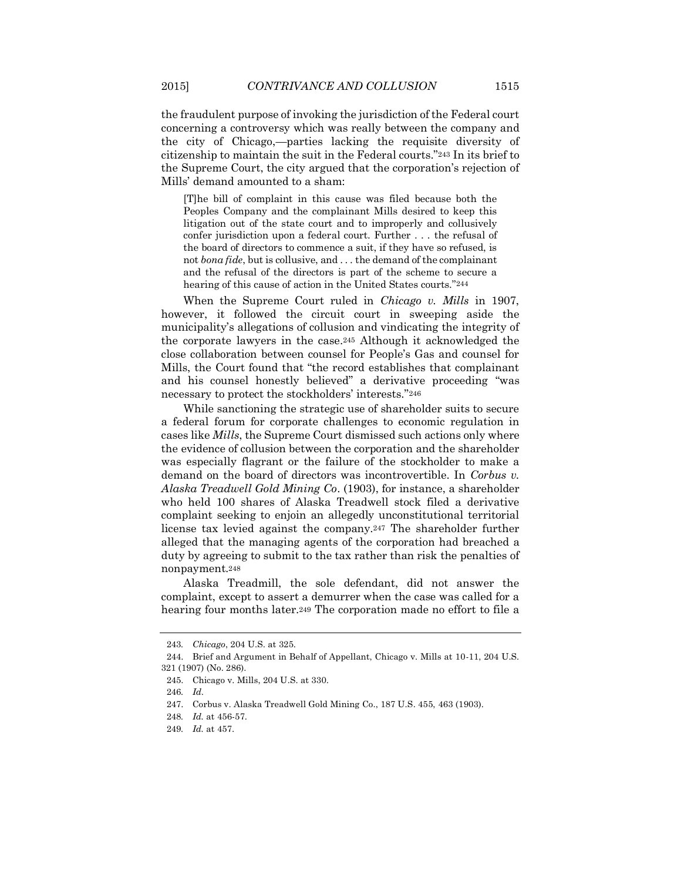the fraudulent purpose of invoking the jurisdiction of the Federal court concerning a controversy which was really between the company and the city of Chicago,—parties lacking the requisite diversity of citizenship to maintain the suit in the Federal courts."<sup>243</sup> In its brief to the Supreme Court, the city argued that the corporation's rejection of Mills' demand amounted to a sham:

[T]he bill of complaint in this cause was filed because both the Peoples Company and the complainant Mills desired to keep this litigation out of the state court and to improperly and collusively confer jurisdiction upon a federal court. Further . . . the refusal of the board of directors to commence a suit, if they have so refused, is not *bona fide*, but is collusive, and . . . the demand of the complainant and the refusal of the directors is part of the scheme to secure a hearing of this cause of action in the United States courts."244

When the Supreme Court ruled in *Chicago v. Mills* in 1907, however, it followed the circuit court in sweeping aside the municipality's allegations of collusion and vindicating the integrity of the corporate lawyers in the case.<sup>245</sup> Although it acknowledged the close collaboration between counsel for People's Gas and counsel for Mills, the Court found that "the record establishes that complainant and his counsel honestly believed" a derivative proceeding "was necessary to protect the stockholders' interests."<sup>246</sup>

While sanctioning the strategic use of shareholder suits to secure a federal forum for corporate challenges to economic regulation in cases like *Mills*, the Supreme Court dismissed such actions only where the evidence of collusion between the corporation and the shareholder was especially flagrant or the failure of the stockholder to make a demand on the board of directors was incontrovertible. In *Corbus v. Alaska Treadwell Gold Mining Co*. (1903), for instance, a shareholder who held 100 shares of Alaska Treadwell stock filed a derivative complaint seeking to enjoin an allegedly unconstitutional territorial license tax levied against the company.<sup>247</sup> The shareholder further alleged that the managing agents of the corporation had breached a duty by agreeing to submit to the tax rather than risk the penalties of nonpayment.<sup>248</sup>

Alaska Treadmill, the sole defendant, did not answer the complaint, except to assert a demurrer when the case was called for a hearing four months later.<sup>249</sup> The corporation made no effort to file a

<sup>243</sup>*. Chicago*, 204 U.S. at 325.

<sup>244.</sup> Brief and Argument in Behalf of Appellant, Chicago v. Mills at 10-11, 204 U.S. 321 (1907) (No. 286).

<sup>245.</sup> Chicago v. Mills, 204 U.S. at 330.

<sup>246</sup>*. Id*.

<sup>247.</sup> Corbus v. Alaska Treadwell Gold Mining Co., 187 U.S. 455, 463 (1903).

<sup>248</sup>*. Id.* at 456-57.

<sup>249</sup>*. Id.* at 457.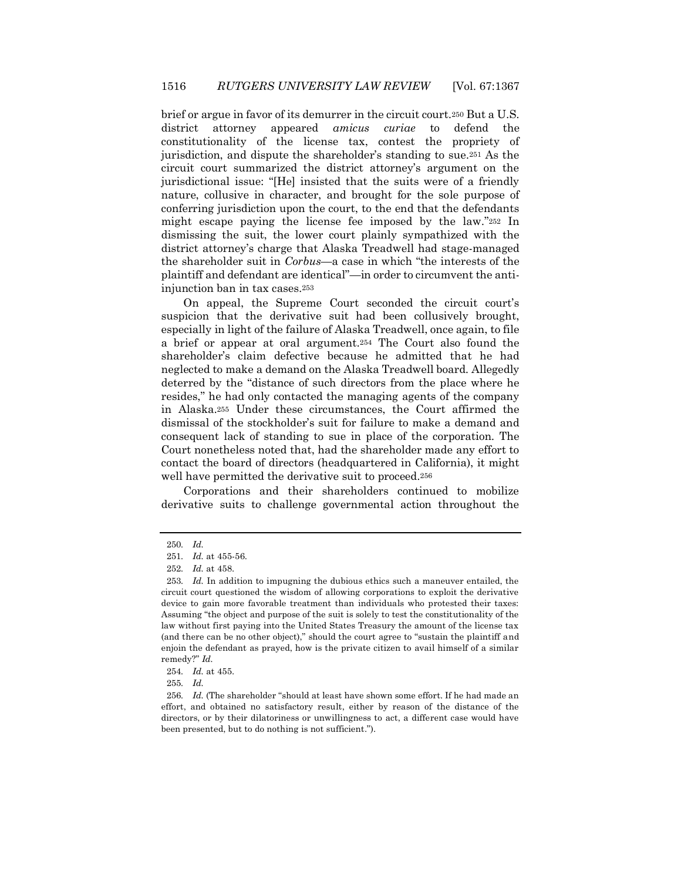brief or argue in favor of its demurrer in the circuit court.<sup>250</sup> But a U.S. district attorney appeared *amicus curiae* to defend the constitutionality of the license tax, contest the propriety of jurisdiction, and dispute the shareholder's standing to sue.<sup>251</sup> As the circuit court summarized the district attorney's argument on the jurisdictional issue: "[He] insisted that the suits were of a friendly nature, collusive in character, and brought for the sole purpose of conferring jurisdiction upon the court, to the end that the defendants might escape paying the license fee imposed by the law."<sup>252</sup> In dismissing the suit, the lower court plainly sympathized with the district attorney's charge that Alaska Treadwell had stage-managed the shareholder suit in *Corbus*—a case in which "the interests of the plaintiff and defendant are identical"—in order to circumvent the antiinjunction ban in tax cases.<sup>253</sup>

On appeal, the Supreme Court seconded the circuit court's suspicion that the derivative suit had been collusively brought, especially in light of the failure of Alaska Treadwell, once again, to file a brief or appear at oral argument.<sup>254</sup> The Court also found the shareholder's claim defective because he admitted that he had neglected to make a demand on the Alaska Treadwell board. Allegedly deterred by the "distance of such directors from the place where he resides," he had only contacted the managing agents of the company in Alaska.<sup>255</sup> Under these circumstances, the Court affirmed the dismissal of the stockholder's suit for failure to make a demand and consequent lack of standing to sue in place of the corporation. The Court nonetheless noted that, had the shareholder made any effort to contact the board of directors (headquartered in California), it might well have permitted the derivative suit to proceed.<sup>256</sup>

Corporations and their shareholders continued to mobilize derivative suits to challenge governmental action throughout the

<sup>250</sup>*. Id.*

<sup>251</sup>*. Id.* at 455-56.

<sup>252</sup>*. Id.* at 458.

<sup>253</sup>*. Id.* In addition to impugning the dubious ethics such a maneuver entailed, the circuit court questioned the wisdom of allowing corporations to exploit the derivative device to gain more favorable treatment than individuals who protested their taxes: Assuming "the object and purpose of the suit is solely to test the constitutionality of the law without first paying into the United States Treasury the amount of the license tax (and there can be no other object)," should the court agree to "sustain the plaintiff and enjoin the defendant as prayed, how is the private citizen to avail himself of a similar remedy?" *Id.* 

<sup>254</sup>*. Id.* at 455.

<sup>255</sup>*. Id.*

<sup>256</sup>*. Id.* (The shareholder "should at least have shown some effort. If he had made an effort, and obtained no satisfactory result, either by reason of the distance of the directors, or by their dilatoriness or unwillingness to act, a different case would have been presented, but to do nothing is not sufficient.").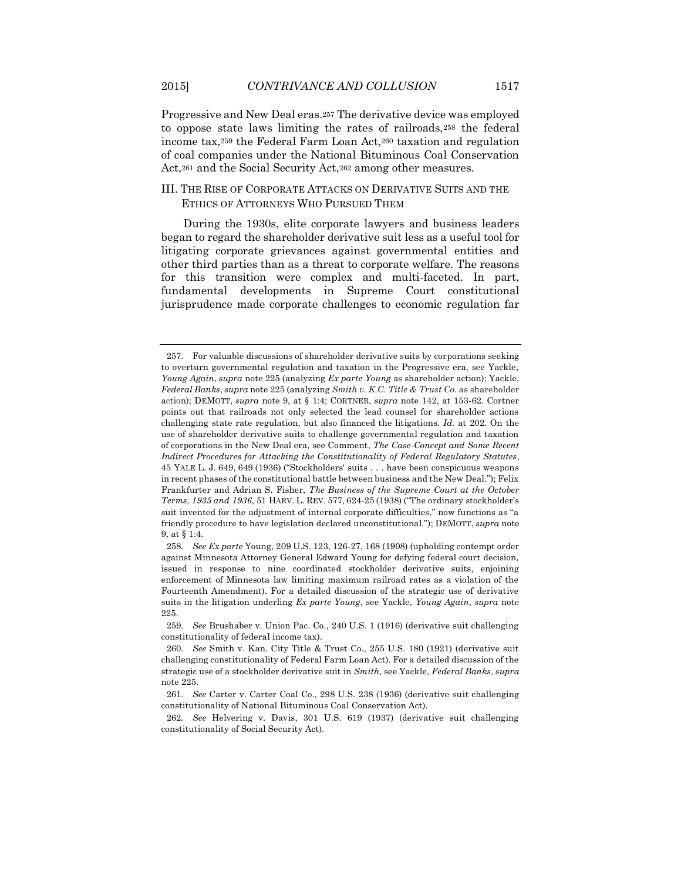Progressive and New Deal eras.<sup>257</sup> The derivative device was employed to oppose state laws limiting the rates of railroads,<sup>258</sup> the federal income tax,<sup>259</sup> the Federal Farm Loan Act,<sup>260</sup> taxation and regulation of coal companies under the National Bituminous Coal Conservation Act,<sup>261</sup> and the Social Security Act,<sup>262</sup> among other measures.

## III. THE RISE OF CORPORATE ATTACKS ON DERIVATIVE SUITS AND THE ETHICS OF ATTORNEYS WHO PURSUED THEM

During the 1930s, elite corporate lawyers and business leaders began to regard the shareholder derivative suit less as a useful tool for litigating corporate grievances against governmental entities and other third parties than as a threat to corporate welfare. The reasons for this transition were complex and multi-faceted. In part, fundamental developments in Supreme Court constitutional jurisprudence made corporate challenges to economic regulation far

<sup>257.</sup> For valuable discussions of shareholder derivative suits by corporations seeking to overturn governmental regulation and taxation in the Progressive era, see Yackle, *Young Again*, *supra* note 225 (analyzing *Ex parte Young* as shareholder action); Yackle, *Federal Banks*, *supra* note 225 (analyzing *Smith v. K.C. Title & Trust Co*. as shareholder action); DEMOTT, *supra* note 9, at § 1:4; CORTNER, *supra* note 142, at 153-62. Cortner points out that railroads not only selected the lead counsel for shareholder actions challenging state rate regulation, but also financed the litigations. *Id.* at 202. On the use of shareholder derivative suits to challenge governmental regulation and taxation of corporations in the New Deal era, see Comment, *The Case-Concept and Some Recent Indirect Procedures for Attacking the Constitutionality of Federal Regulatory Statutes*, 45 YALE L. J. 649, 649 (1936) ("Stockholders' suits . . . have been conspicuous weapons in recent phases of the constitutional battle between business and the New Deal."); Felix Frankfurter and Adrian S. Fisher, *The Business of the Supreme Court at the October Terms, 1935 and 1936*, 51 HARV. L. REV. 577, 624-25 (1938) ("The ordinary stockholder's suit invented for the adjustment of internal corporate difficulties," now functions as "a friendly procedure to have legislation declared unconstitutional."); DEMOTT, *supra* note 9, at § 1:4.

<sup>258</sup>*. See Ex parte* Young, 209 U.S. 123, 126-27, 168 (1908) (upholding contempt order against Minnesota Attorney General Edward Young for defying federal court decision, issued in response to nine coordinated stockholder derivative suits, enjoining enforcement of Minnesota law limiting maximum railroad rates as a violation of the Fourteenth Amendment). For a detailed discussion of the strategic use of derivative suits in the litigation underling *Ex parte Young*, see Yackle, *Young Again*, *supra* note 225.

<sup>259</sup>*. See* Brushaber v. Union Pac. Co., 240 U.S. 1 (1916) (derivative suit challenging constitutionality of federal income tax).

<sup>260</sup>*. See* Smith v. Kan. City Title & Trust Co., 255 U.S. 180 (1921) (derivative suit challenging constitutionality of Federal Farm Loan Act). For a detailed discussion of the strategic use of a stockholder derivative suit in *Smith*, see Yackle, *Federal Banks*, *supra*  note 225.

<sup>261</sup>*. See* Carter v. Carter Coal Co., 298 U.S. 238 (1936) (derivative suit challenging constitutionality of National Bituminous Coal Conservation Act).

<sup>262</sup>*. See* Helvering v. Davis, 301 U.S. 619 (1937) (derivative suit challenging constitutionality of Social Security Act).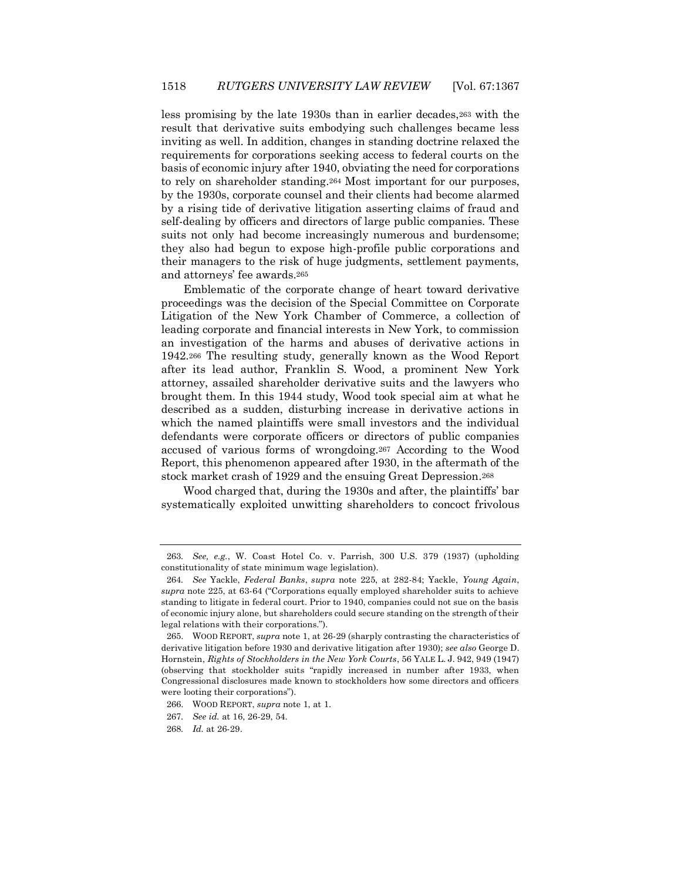less promising by the late 1930s than in earlier decades,<sup>263</sup> with the result that derivative suits embodying such challenges became less inviting as well. In addition, changes in standing doctrine relaxed the requirements for corporations seeking access to federal courts on the basis of economic injury after 1940, obviating the need for corporations to rely on shareholder standing.<sup>264</sup> Most important for our purposes, by the 1930s, corporate counsel and their clients had become alarmed by a rising tide of derivative litigation asserting claims of fraud and self-dealing by officers and directors of large public companies. These suits not only had become increasingly numerous and burdensome; they also had begun to expose high-profile public corporations and their managers to the risk of huge judgments, settlement payments, and attorneys' fee awards.<sup>265</sup>

Emblematic of the corporate change of heart toward derivative proceedings was the decision of the Special Committee on Corporate Litigation of the New York Chamber of Commerce, a collection of leading corporate and financial interests in New York, to commission an investigation of the harms and abuses of derivative actions in 1942.<sup>266</sup> The resulting study, generally known as the Wood Report after its lead author, Franklin S. Wood, a prominent New York attorney, assailed shareholder derivative suits and the lawyers who brought them. In this 1944 study, Wood took special aim at what he described as a sudden, disturbing increase in derivative actions in which the named plaintiffs were small investors and the individual defendants were corporate officers or directors of public companies accused of various forms of wrongdoing.<sup>267</sup> According to the Wood Report, this phenomenon appeared after 1930, in the aftermath of the stock market crash of 1929 and the ensuing Great Depression.<sup>268</sup>

Wood charged that, during the 1930s and after, the plaintiffs' bar systematically exploited unwitting shareholders to concoct frivolous

<sup>263</sup>*. See, e.g.*, W. Coast Hotel Co. v. Parrish, 300 U.S. 379 (1937) (upholding constitutionality of state minimum wage legislation).

<sup>264</sup>*. See* Yackle, *Federal Banks*, *supra* note 225, at 282-84; Yackle, *Young Again*, *supra* note 225, at 63-64 ("Corporations equally employed shareholder suits to achieve standing to litigate in federal court. Prior to 1940, companies could not sue on the basis of economic injury alone, but shareholders could secure standing on the strength of their legal relations with their corporations.").

<sup>265.</sup> WOOD REPORT, *supra* note 1, at 26-29 (sharply contrasting the characteristics of derivative litigation before 1930 and derivative litigation after 1930); *see also* George D. Hornstein, *Rights of Stockholders in the New York Courts*, 56 YALE L. J. 942, 949 (1947) (observing that stockholder suits "rapidly increased in number after 1933, when Congressional disclosures made known to stockholders how some directors and officers were looting their corporations").

<sup>266.</sup> WOOD REPORT, *supra* note 1, at 1.

<sup>267</sup>*. See id.* at 16, 26-29, 54.

<sup>268</sup>*. Id.* at 26-29.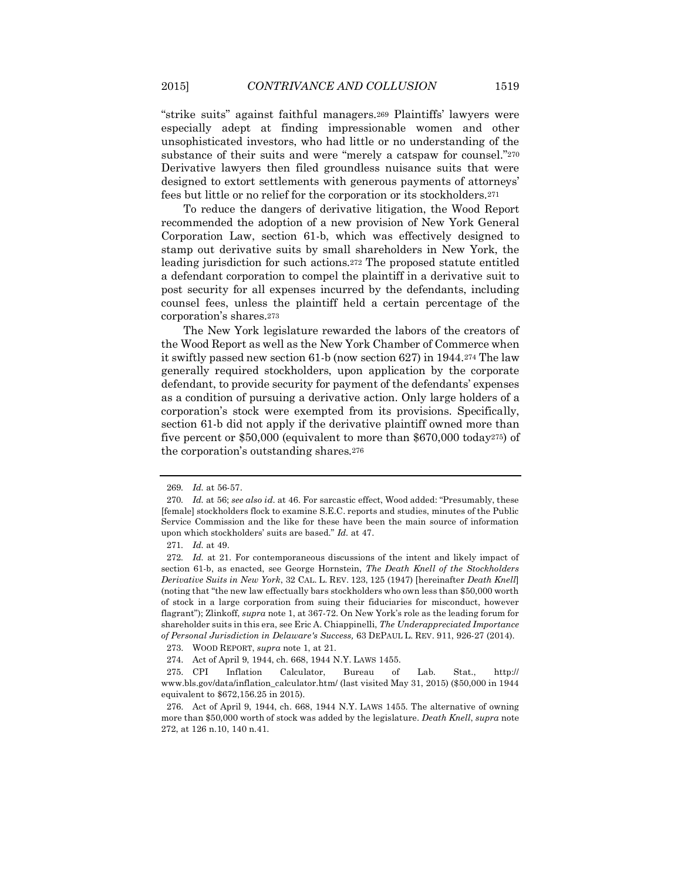"strike suits" against faithful managers.<sup>269</sup> Plaintiffs' lawyers were especially adept at finding impressionable women and other unsophisticated investors, who had little or no understanding of the substance of their suits and were "merely a catspaw for counsel."<sup>270</sup> Derivative lawyers then filed groundless nuisance suits that were designed to extort settlements with generous payments of attorneys' fees but little or no relief for the corporation or its stockholders.<sup>271</sup>

To reduce the dangers of derivative litigation, the Wood Report recommended the adoption of a new provision of New York General Corporation Law, section 61-b, which was effectively designed to stamp out derivative suits by small shareholders in New York, the leading jurisdiction for such actions.<sup>272</sup> The proposed statute entitled a defendant corporation to compel the plaintiff in a derivative suit to post security for all expenses incurred by the defendants, including counsel fees, unless the plaintiff held a certain percentage of the corporation's shares.<sup>273</sup>

The New York legislature rewarded the labors of the creators of the Wood Report as well as the New York Chamber of Commerce when it swiftly passed new section 61-b (now section 627) in 1944.<sup>274</sup> The law generally required stockholders, upon application by the corporate defendant, to provide security for payment of the defendants' expenses as a condition of pursuing a derivative action. Only large holders of a corporation's stock were exempted from its provisions. Specifically, section 61-b did not apply if the derivative plaintiff owned more than five percent or \$50,000 (equivalent to more than \$670,000 today275) of the corporation's outstanding shares.<sup>276</sup>

<sup>269</sup>*. Id.* at 56-57.

<sup>270</sup>*. Id.* at 56; *see also id*. at 46. For sarcastic effect, Wood added: "Presumably, these [female] stockholders flock to examine S.E.C. reports and studies, minutes of the Public Service Commission and the like for these have been the main source of information upon which stockholders' suits are based." *Id.* at 47.

<sup>271</sup>*. Id.* at 49.

<sup>272</sup>*. Id.* at 21. For contemporaneous discussions of the intent and likely impact of section 61-b, as enacted, see George Hornstein, *The Death Knell of the Stockholders Derivative Suits in New York*, 32 CAL. L. REV. 123, 125 (1947) [hereinafter *Death Knell*] (noting that "the new law effectually bars stockholders who own less than \$50,000 worth of stock in a large corporation from suing their fiduciaries for misconduct, however flagrant"); Zlinkoff, *supra* note 1, at 367-72. On New York's role as the leading forum for shareholder suits in this era, see Eric A. Chiappinelli, *The Underappreciated Importance of Personal Jurisdiction in Delaware's Success,* 63 DEPAUL L. REV. 911, 926-27 (2014).

<sup>273.</sup> WOOD REPORT, *supra* note 1, at 21.

<sup>274.</sup> Act of April 9, 1944, ch. 668, 1944 N.Y. LAWS 1455.

<sup>275.</sup> CPI Inflation Calculator, Bureau of Lab. Stat., http:// www.bls.gov/data/inflation\_calculator.htm/ (last visited May 31, 2015) (\$50,000 in 1944 equivalent to \$672,156.25 in 2015).

<sup>276.</sup> Act of April 9, 1944, ch. 668, 1944 N.Y. LAWS 1455. The alternative of owning more than \$50,000 worth of stock was added by the legislature. *Death Knell*, *supra* note 272, at 126 n.10, 140 n.41.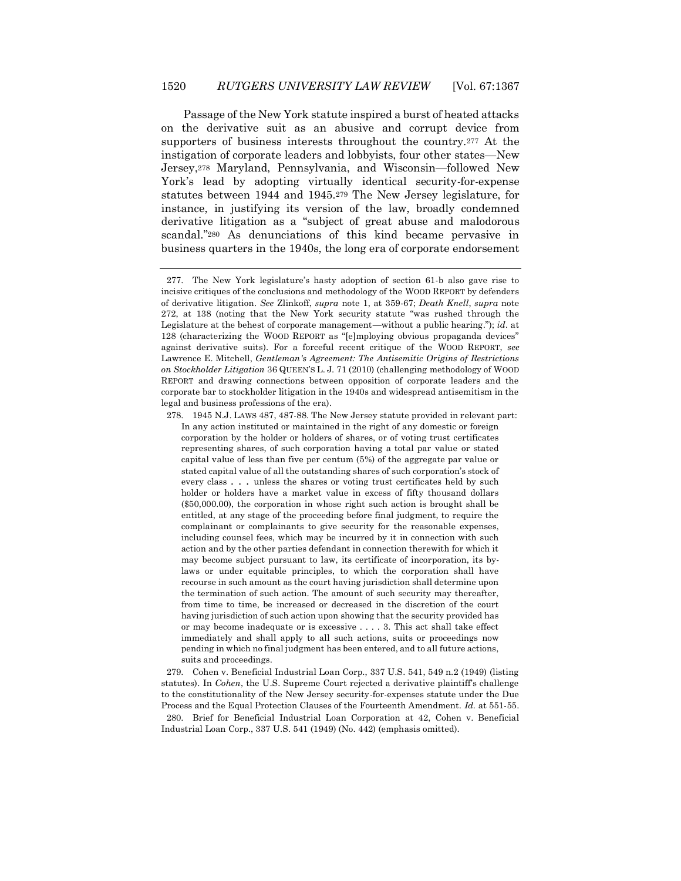Passage of the New York statute inspired a burst of heated attacks on the derivative suit as an abusive and corrupt device from supporters of business interests throughout the country.<sup>277</sup> At the instigation of corporate leaders and lobbyists, four other states—New Jersey,<sup>278</sup> Maryland, Pennsylvania, and Wisconsin—followed New York's lead by adopting virtually identical security-for-expense statutes between 1944 and 1945.<sup>279</sup> The New Jersey legislature, for instance, in justifying its version of the law, broadly condemned derivative litigation as a "subject of great abuse and malodorous scandal."<sup>280</sup> As denunciations of this kind became pervasive in business quarters in the 1940s, the long era of corporate endorsement

279. Cohen v. Beneficial Industrial Loan Corp., 337 U.S. 541, 549 n.2 (1949) (listing statutes). In *Cohen*, the U.S. Supreme Court rejected a derivative plaintiff's challenge to the constitutionality of the New Jersey security-for-expenses statute under the Due Process and the Equal Protection Clauses of the Fourteenth Amendment. *Id.* at 551-55. 280. Brief for Beneficial Industrial Loan Corporation at 42, Cohen v. Beneficial Industrial Loan Corp., 337 U.S. 541 (1949) (No. 442) (emphasis omitted).

<sup>277.</sup> The New York legislature's hasty adoption of section 61-b also gave rise to incisive critiques of the conclusions and methodology of the WOOD REPORT by defenders of derivative litigation. *See* Zlinkoff, *supra* note 1, at 359-67; *Death Knell*, *supra* note 272, at 138 (noting that the New York security statute "was rushed through the Legislature at the behest of corporate management—without a public hearing."); *id.* at 128 (characterizing the WOOD REPORT as "[e]mploying obvious propaganda devices" against derivative suits). For a forceful recent critique of the WOOD REPORT, *see*  Lawrence E. Mitchell, *Gentleman's Agreement: The Antisemitic Origins of Restrictions on Stockholder Litigation* 36 QUEEN'S L. J. 71 (2010) (challenging methodology of WOOD REPORT and drawing connections between opposition of corporate leaders and the corporate bar to stockholder litigation in the 1940s and widespread antisemitism in the legal and business professions of the era).

<sup>278.</sup> 1945 N.J. LAWS 487, 487-88. The New Jersey statute provided in relevant part: In any action instituted or maintained in the right of any domestic or foreign corporation by the holder or holders of shares, or of voting trust certificates representing shares, of such corporation having a total par value or stated capital value of less than five per centum (5%) of the aggregate par value or stated capital value of all the outstanding shares of such corporation's stock of every class . . . unless the shares or voting trust certificates held by such holder or holders have a market value in excess of fifty thousand dollars (\$50,000.00), the corporation in whose right such action is brought shall be entitled, at any stage of the proceeding before final judgment, to require the complainant or complainants to give security for the reasonable expenses, including counsel fees, which may be incurred by it in connection with such action and by the other parties defendant in connection therewith for which it may become subject pursuant to law, its certificate of incorporation, its bylaws or under equitable principles, to which the corporation shall have recourse in such amount as the court having jurisdiction shall determine upon the termination of such action. The amount of such security may thereafter, from time to time, be increased or decreased in the discretion of the court having jurisdiction of such action upon showing that the security provided has or may become inadequate or is excessive . . . . 3. This act shall take effect immediately and shall apply to all such actions, suits or proceedings now pending in which no final judgment has been entered, and to all future actions, suits and proceedings.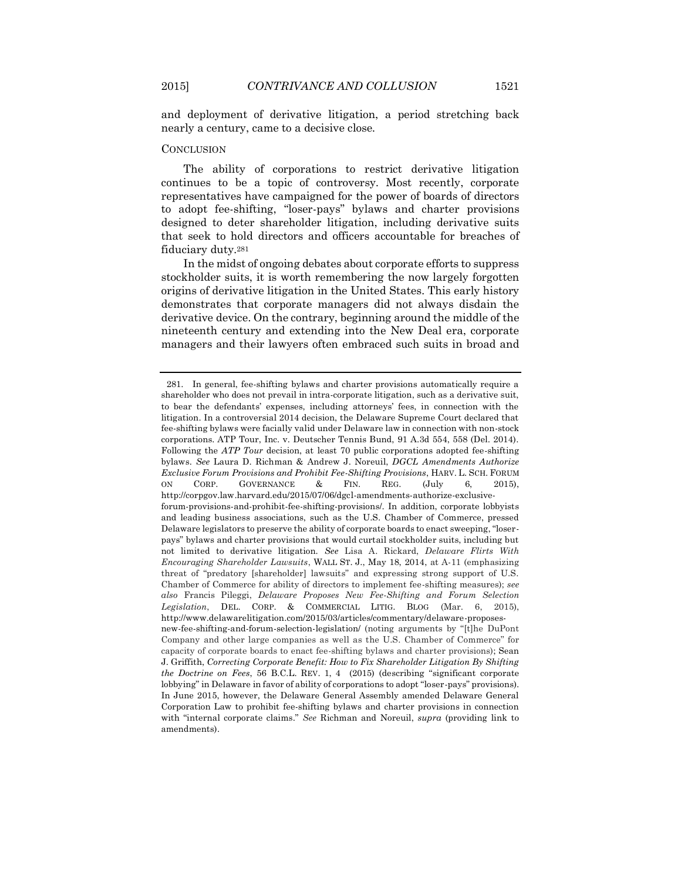nearly a century, came to a decisive close.

and deployment of derivative litigation, a period stretching back

#### **CONCLUSION**

The ability of corporations to restrict derivative litigation continues to be a topic of controversy. Most recently, corporate representatives have campaigned for the power of boards of directors to adopt fee-shifting, "loser-pays" bylaws and charter provisions designed to deter shareholder litigation, including derivative suits that seek to hold directors and officers accountable for breaches of fiduciary duty.<sup>281</sup>

In the midst of ongoing debates about corporate efforts to suppress stockholder suits, it is worth remembering the now largely forgotten origins of derivative litigation in the United States. This early history demonstrates that corporate managers did not always disdain the derivative device. On the contrary, beginning around the middle of the nineteenth century and extending into the New Deal era, corporate managers and their lawyers often embraced such suits in broad and

<sup>281.</sup> In general, fee-shifting bylaws and charter provisions automatically require a shareholder who does not prevail in intra-corporate litigation, such as a derivative suit, to bear the defendants' expenses, including attorneys' fees, in connection with the litigation. In a controversial 2014 decision, the Delaware Supreme Court declared that fee-shifting bylaws were facially valid under Delaware law in connection with non-stock corporations. ATP Tour, Inc. v. Deutscher Tennis Bund, 91 A.3d 554, 558 (Del. 2014). Following the *ATP Tour* decision, at least 70 public corporations adopted fee-shifting bylaws. *See* Laura D. Richman & Andrew J. Noreuil, *DGCL Amendments Authorize Exclusive Forum Provisions and Prohibit Fee-Shifting Provisions*, HARV. L. SCH. FORUM ON CORP. GOVERNANCE & FIN. REG. (July 6, 2015), [http://corpgov.law.harvard.edu/2015/07/06/dgcl-amendments-authorize-exclusive](http://corpgov.law.harvard.edu/2015/07/06/dgcl-amendments-authorize-exclusive-forum-provisions-and-prohibit-fee-shifting-provisions/)[forum-provisions-and-prohibit-fee-shifting-provisions/.](http://corpgov.law.harvard.edu/2015/07/06/dgcl-amendments-authorize-exclusive-forum-provisions-and-prohibit-fee-shifting-provisions/) In addition, corporate lobbyists and leading business associations, such as the U.S. Chamber of Commerce, pressed Delaware legislators to preserve the ability of corporate boards to enact sweeping, "loserpays" bylaws and charter provisions that would curtail stockholder suits, including but not limited to derivative litigation. *See* Lisa A. Rickard, *Delaware Flirts With Encouraging Shareholder Lawsuits*, WALL ST. J., May 18, 2014, at A-11 (emphasizing threat of "predatory [shareholder] lawsuits" and expressing strong support of U.S. Chamber of Commerce for ability of directors to implement fee-shifting measures); *see also* Francis Pileggi, *Delaware Proposes New Fee-Shifting and Forum Selection Legislation*, DEL. CORP. & COMMERCIAL LITIG. BLOG (Mar. 6, 2015), http://www.delawarelitigation.com/2015/03/articles/commentary/delaware-proposesnew-fee-shifting-and-forum-selection-legislation/ (noting arguments by "[t]he DuPont Company and other large companies as well as the U.S. Chamber of Commerce" for capacity of corporate boards to enact fee-shifting bylaws and charter provisions); Sean J. Griffith, *Correcting Corporate Benefit: How to Fix Shareholder Litigation By Shifting the Doctrine on Fees*, 56 B.C.L. REV. 1, 4 (2015) (describing "significant corporate lobbying" in Delaware in favor of ability of corporations to adopt "loser-pays" provisions). In June 2015, however, the Delaware General Assembly amended Delaware General Corporation Law to prohibit fee-shifting bylaws and charter provisions in connection with "internal corporate claims." *See* Richman and Noreuil, *supra* (providing link to amendments).